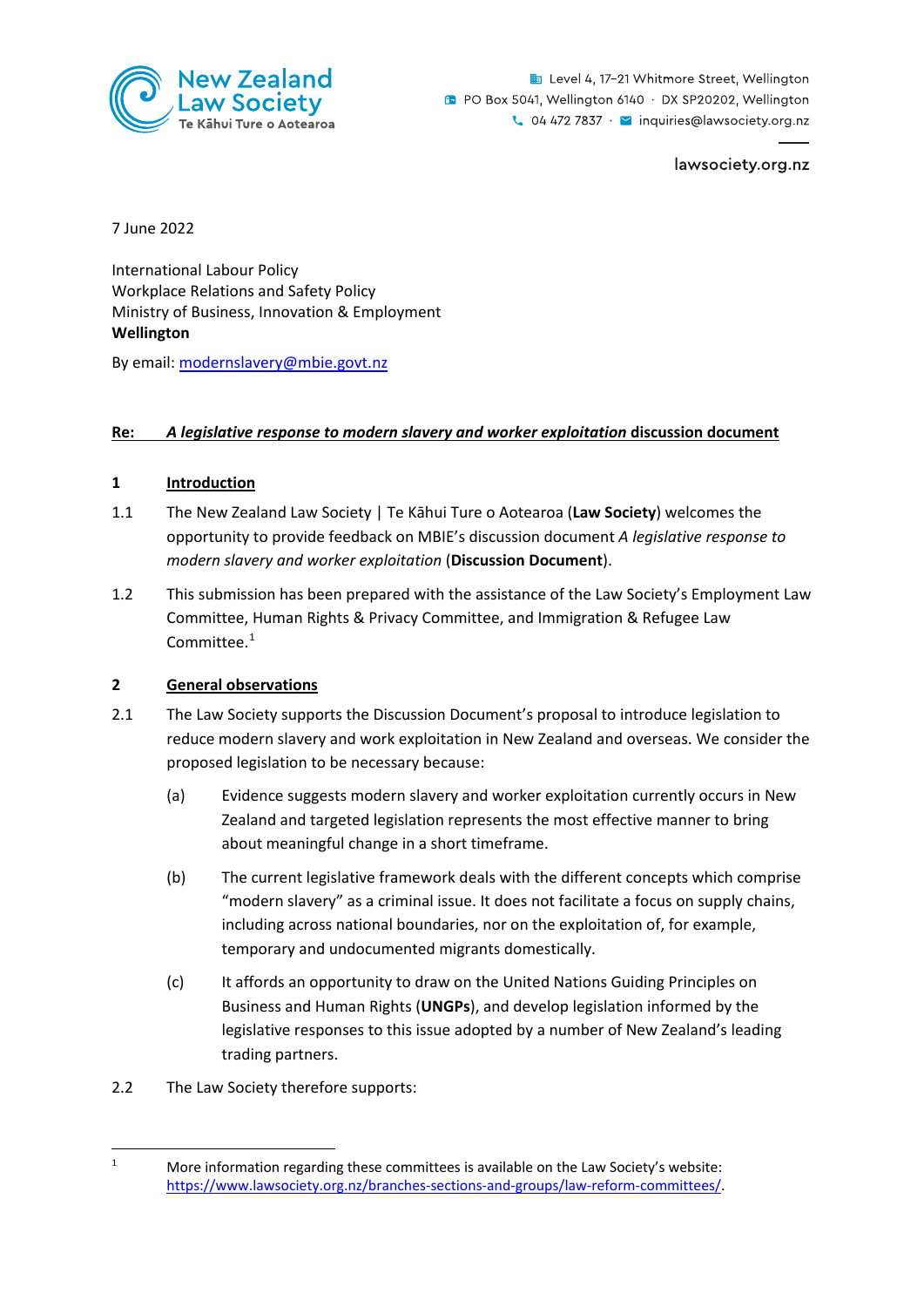

Level 4, 17-21 Whitmore Street, Wellington **D** PO Box 5041, Wellington 6140 · DX SP20202, Wellington  $\sim$  04 472 7837  $\cdot$   $\sim$  inquiries@lawsociety.org.nz

lawsociety.org.nz

7 June 2022

International Labour Policy Workplace Relations and Safety Policy Ministry of Business, Innovation & Employment **Wellington** 

By email: [modernslavery@mbie.govt.nz](mailto:modernslavery@mbie.govt.nz) 

## **Re:** *A legislative response to modern slavery and worker exploitation* **discussion document**

## **1 Introduction**

- 1.1 The New Zealand Law Society | Te Kāhui Ture o Aotearoa (**Law Society**) welcomes the opportunity to provide feedback on MBIE's discussion document *A legislative response to modern slavery and worker exploitation* (**Discussion Document**).
- 1.2 This submission has been prepared with the assistance of the Law Society's Employment Law Committee, Human Rights & Privacy Committee, and Immigration & Refugee Law Committee. [1](#page-0-0)

## **2 General observations**

- 2.1 The Law Society supports the Discussion Document's proposal to introduce legislation to reduce modern slavery and work exploitation in New Zealand and overseas. We consider the proposed legislation to be necessary because:
	- (a) Evidence suggests modern slavery and worker exploitation currently occurs in New Zealand and targeted legislation represents the most effective manner to bring about meaningful change in a short timeframe.
	- (b) The current legislative framework deals with the different concepts which comprise "modern slavery" as a criminal issue. It does not facilitate a focus on supply chains, including across national boundaries, nor on the exploitation of, for example, temporary and undocumented migrants domestically.
	- (c) It affords an opportunity to draw on the United Nations Guiding Principles on Business and Human Rights (**UNGPs**), and develop legislation informed by the legislative responses to this issue adopted by a number of New Zealand's leading trading partners.
- 2.2 The Law Society therefore supports:

<span id="page-0-0"></span><sup>1</sup> More information regarding these committees is available on the Law Society's website: [https://www.lawsociety.org.nz/branches-sections-and-groups/law-reform-committees/.](https://www.lawsociety.org.nz/branches-sections-and-groups/law-reform-committees/)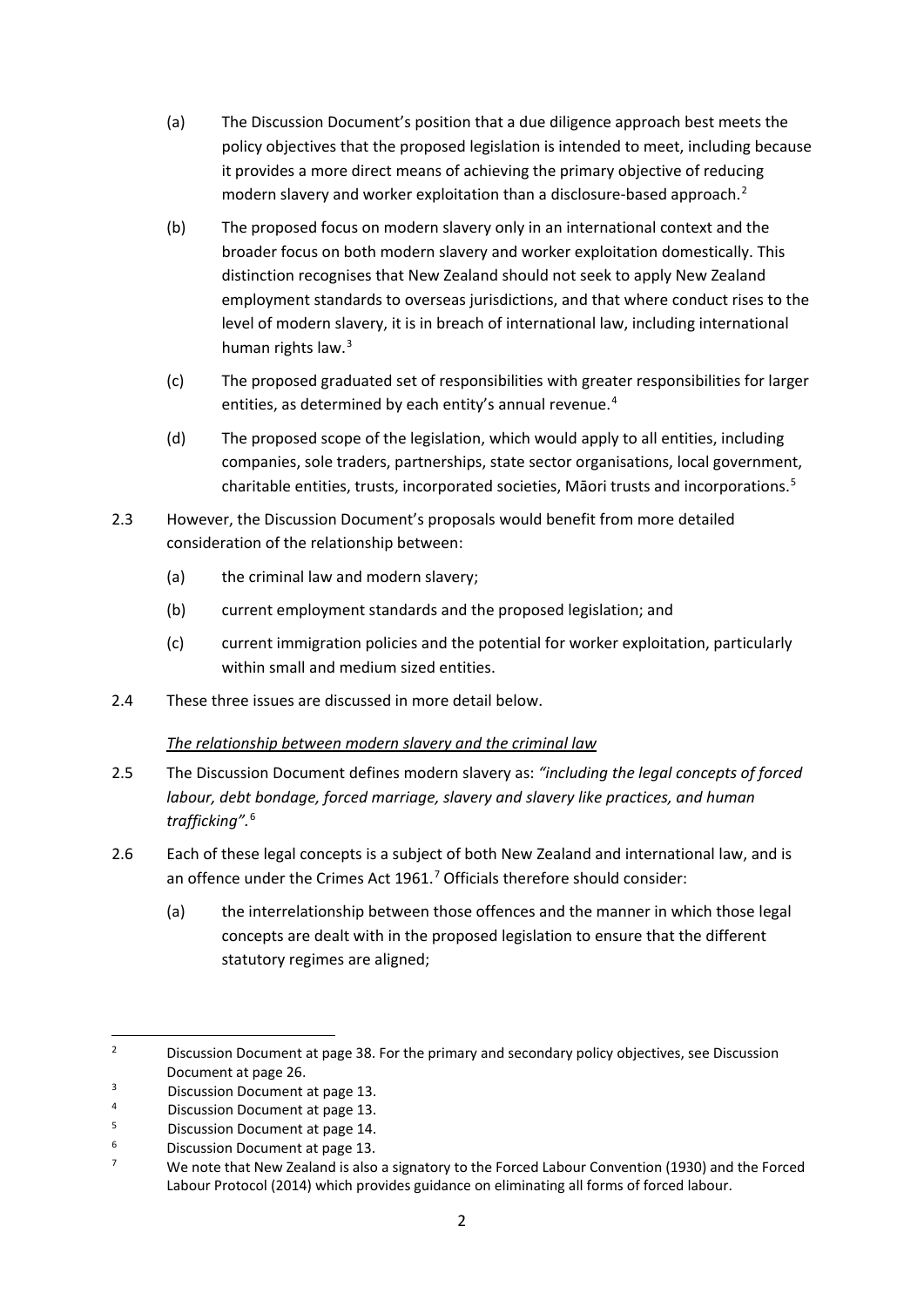- (a) The Discussion Document's position that a due diligence approach best meets the policy objectives that the proposed legislation is intended to meet, including because it provides a more direct means of achieving the primary objective of reducing modern slavery and worker exploitation than a disclosure-based approach.<sup>[2](#page-1-0)</sup>
- (b) The proposed focus on modern slavery only in an international context and the broader focus on both modern slavery and worker exploitation domestically. This distinction recognises that New Zealand should not seek to apply New Zealand employment standards to overseas jurisdictions, and that where conduct rises to the level of modern slavery, it is in breach of international law, including international human rights law.<sup>[3](#page-1-1)</sup>
- (c) The proposed graduated set of responsibilities with greater responsibilities for larger entities, as determined by each entity's annual revenue.<sup>[4](#page-1-2)</sup>
- (d) The proposed scope of the legislation, which would apply to all entities, including companies, sole traders, partnerships, state sector organisations, local government, charitable entities, trusts, incorporated societies, Māori trusts and incorporations.<sup>[5](#page-1-3)</sup>
- 2.3 However, the Discussion Document's proposals would benefit from more detailed consideration of the relationship between:
	- (a) the criminal law and modern slavery;
	- (b) current employment standards and the proposed legislation; and
	- (c) current immigration policies and the potential for worker exploitation, particularly within small and medium sized entities.
- 2.4 These three issues are discussed in more detail below.

## *The relationship between modern slavery and the criminal law*

- 2.5 The Discussion Document defines modern slavery as: *"including the legal concepts of forced labour, debt bondage, forced marriage, slavery and slavery like practices, and human trafficking".*[6](#page-1-4)
- 2.6 Each of these legal concepts is a subject of both New Zealand and international law, and is an offence under the Crimes Act 1961.<sup>[7](#page-1-5)</sup> Officials therefore should consider:
	- (a) the interrelationship between those offences and the manner in which those legal concepts are dealt with in the proposed legislation to ensure that the different statutory regimes are aligned;

<span id="page-1-0"></span><sup>2</sup> Discussion Document at page 38. For the primary and secondary policy objectives, see Discussion Document at page 26.

<span id="page-1-1"></span><sup>3</sup> Discussion Document at page 13.

<span id="page-1-2"></span><sup>4</sup> Discussion Document at page 13.

<span id="page-1-3"></span><sup>5</sup> Discussion Document at page 14.

<span id="page-1-4"></span><sup>6</sup> Discussion Document at page 13.

<span id="page-1-5"></span><sup>7</sup> We note that New Zealand is also a signatory to the Forced Labour Convention (1930) and the Forced Labour Protocol (2014) which provides guidance on eliminating all forms of forced labour.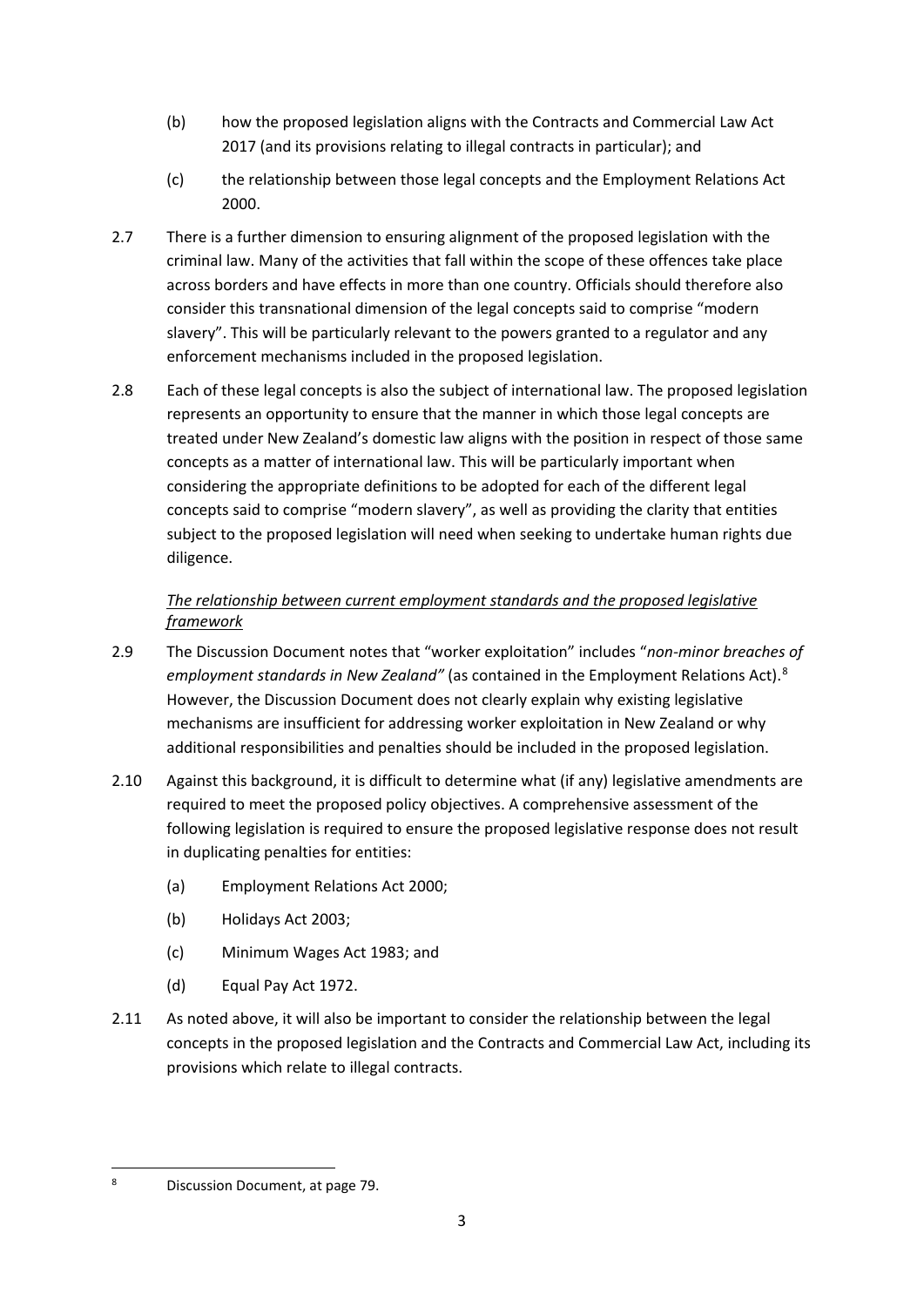- (b) how the proposed legislation aligns with the Contracts and Commercial Law Act 2017 (and its provisions relating to illegal contracts in particular); and
- (c) the relationship between those legal concepts and the Employment Relations Act 2000.
- 2.7 There is a further dimension to ensuring alignment of the proposed legislation with the criminal law. Many of the activities that fall within the scope of these offences take place across borders and have effects in more than one country. Officials should therefore also consider this transnational dimension of the legal concepts said to comprise "modern slavery". This will be particularly relevant to the powers granted to a regulator and any enforcement mechanisms included in the proposed legislation.
- 2.8 Each of these legal concepts is also the subject of international law. The proposed legislation represents an opportunity to ensure that the manner in which those legal concepts are treated under New Zealand's domestic law aligns with the position in respect of those same concepts as a matter of international law. This will be particularly important when considering the appropriate definitions to be adopted for each of the different legal concepts said to comprise "modern slavery", as well as providing the clarity that entities subject to the proposed legislation will need when seeking to undertake human rights due diligence.

# *The relationship between current employment standards and the proposed legislative framework*

- 2.9 The Discussion Document notes that "worker exploitation" includes "*non-minor breaches of employment standards in New Zealand"* (as contained in the Employment Relations Act).<sup>[8](#page-2-0)</sup> However, the Discussion Document does not clearly explain why existing legislative mechanisms are insufficient for addressing worker exploitation in New Zealand or why additional responsibilities and penalties should be included in the proposed legislation.
- 2.10 Against this background, it is difficult to determine what (if any) legislative amendments are required to meet the proposed policy objectives. A comprehensive assessment of the following legislation is required to ensure the proposed legislative response does not result in duplicating penalties for entities:
	- (a) Employment Relations Act 2000;
	- (b) Holidays Act 2003;
	- (c) Minimum Wages Act 1983; and
	- (d) Equal Pay Act 1972.
- 2.11 As noted above, it will also be important to consider the relationship between the legal concepts in the proposed legislation and the Contracts and Commercial Law Act, including its provisions which relate to illegal contracts.

<span id="page-2-0"></span><sup>8</sup> Discussion Document, at page 79.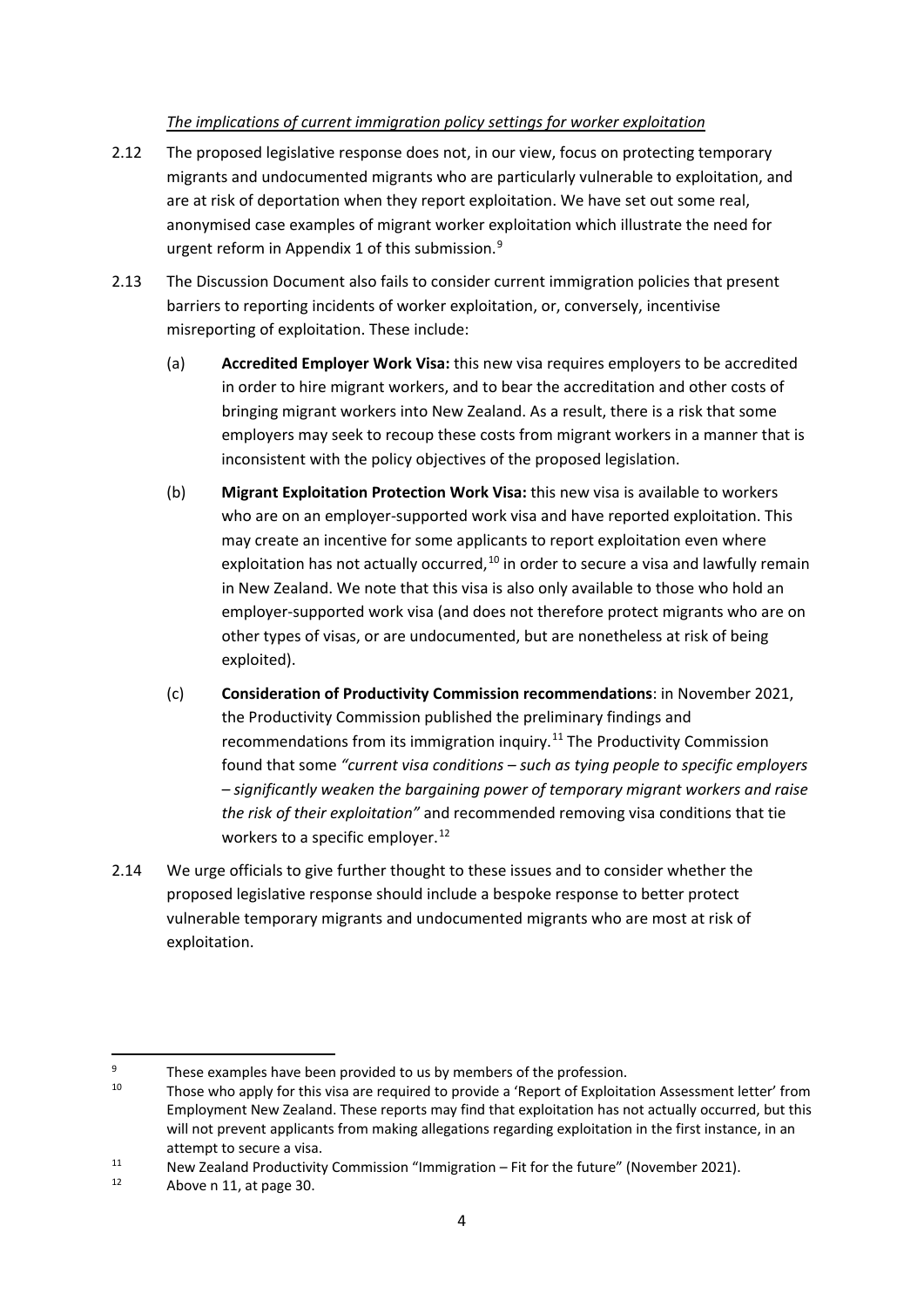## *The implications of current immigration policy settings for worker exploitation*

- 2.12 The proposed legislative response does not, in our view, focus on protecting temporary migrants and undocumented migrants who are particularly vulnerable to exploitation, and are at risk of deportation when they report exploitation. We have set out some real, anonymised case examples of migrant worker exploitation which illustrate the need for urgent reform in Appendix 1 of this submission.<sup>[9](#page-3-0)</sup>
- 2.13 The Discussion Document also fails to consider current immigration policies that present barriers to reporting incidents of worker exploitation, or, conversely, incentivise misreporting of exploitation. These include:
	- (a) **Accredited Employer Work Visa:** this new visa requires employers to be accredited in order to hire migrant workers, and to bear the accreditation and other costs of bringing migrant workers into New Zealand. As a result, there is a risk that some employers may seek to recoup these costs from migrant workers in a manner that is inconsistent with the policy objectives of the proposed legislation.
	- (b) **Migrant Exploitation Protection Work Visa:** this new visa is available to workers who are on an employer-supported work visa and have reported exploitation. This may create an incentive for some applicants to report exploitation even where exploitation has not actually occurred, $10$  in order to secure a visa and lawfully remain in New Zealand. We note that this visa is also only available to those who hold an employer-supported work visa (and does not therefore protect migrants who are on other types of visas, or are undocumented, but are nonetheless at risk of being exploited).
	- (c) **Consideration of Productivity Commission recommendations**: in November 2021, the Productivity Commission published the preliminary findings and recommendations from its immigration inquiry.<sup>[11](#page-3-2)</sup> The Productivity Commission found that some *"current visa conditions – such as tying people to specific employers – significantly weaken the bargaining power of temporary migrant workers and raise the risk of their exploitation"* and recommended removing visa conditions that tie workers to a specific employer.<sup>[12](#page-3-3)</sup>
- 2.14 We urge officials to give further thought to these issues and to consider whether the proposed legislative response should include a bespoke response to better protect vulnerable temporary migrants and undocumented migrants who are most at risk of exploitation.

<sup>9</sup>

<span id="page-3-1"></span><span id="page-3-0"></span>These examples have been provided to us by members of the profession.<br><sup>10</sup> Those who apply for this visa are required to provide a 'Report of Exploitation Assessment letter' from Employment New Zealand. These reports may find that exploitation has not actually occurred, but this will not prevent applicants from making allegations regarding exploitation in the first instance, in an

<span id="page-3-2"></span>attempt to secure a visa.<br>
11 New Zealand Productivity Commission "Immigration – Fit for the future" (November 2021).<br>
12 Above n 11 et nage 20

<span id="page-3-3"></span>Above n 11, at page 30.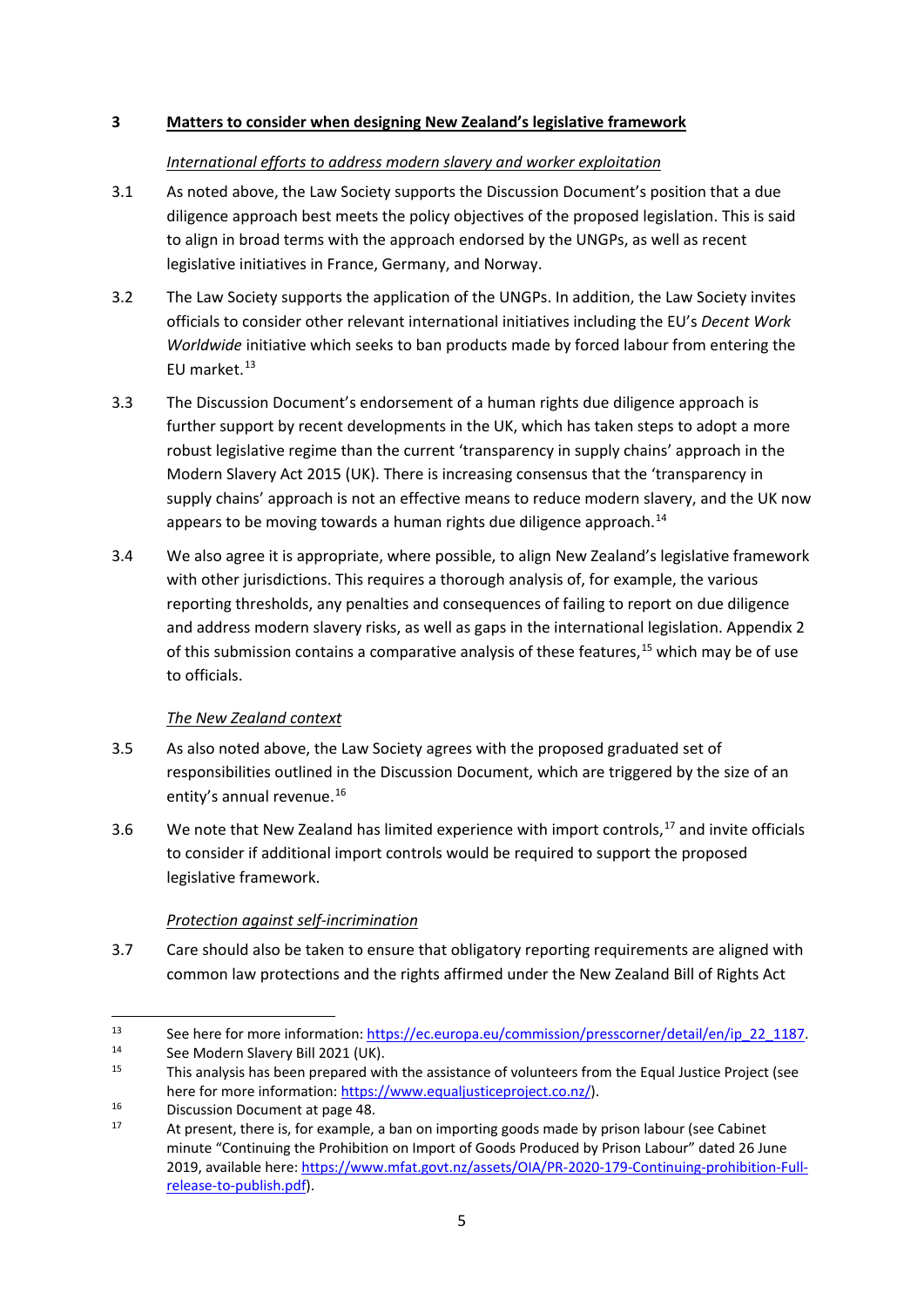## **3 Matters to consider when designing New Zealand's legislative framework**

## *International efforts to address modern slavery and worker exploitation*

- 3.1 As noted above, the Law Society supports the Discussion Document's position that a due diligence approach best meets the policy objectives of the proposed legislation. This is said to align in broad terms with the approach endorsed by the UNGPs, as well as recent legislative initiatives in France, Germany, and Norway.
- 3.2 The Law Society supports the application of the UNGPs. In addition, the Law Society invites officials to consider other relevant international initiatives including the EU's *Decent Work Worldwide* initiative which seeks to ban products made by forced labour from entering the EU market.<sup>[13](#page-4-0)</sup>
- 3.3 The Discussion Document's endorsement of a human rights due diligence approach is further support by recent developments in the UK, which has taken steps to adopt a more robust legislative regime than the current 'transparency in supply chains' approach in the Modern Slavery Act 2015 (UK). There is increasing consensus that the 'transparency in supply chains' approach is not an effective means to reduce modern slavery, and the UK now appears to be moving towards a human rights due diligence approach.<sup>14</sup>
- 3.4 We also agree it is appropriate, where possible, to align New Zealand's legislative framework with other jurisdictions. This requires a thorough analysis of, for example, the various reporting thresholds, any penalties and consequences of failing to report on due diligence and address modern slavery risks, as well as gaps in the international legislation. Appendix 2 of this submission contains a comparative analysis of these features,<sup>[15](#page-4-2)</sup> which may be of use to officials.

# *The New Zealand context*

- 3.5 As also noted above, the Law Society agrees with the proposed graduated set of responsibilities outlined in the Discussion Document, which are triggered by the size of an entity's annual revenue.<sup>[16](#page-4-3)</sup>
- 3.6 We note that New Zealand has limited experience with import controls,  $17$  and invite officials to consider if additional import controls would be required to support the proposed legislative framework.

# *Protection against self-incrimination*

3.7 Care should also be taken to ensure that obligatory reporting requirements are aligned with common law protections and the rights affirmed under the New Zealand Bill of Rights Act

<span id="page-4-0"></span>See here for more information: https://ec.europa.eu/commission/presscorner/detail/en/ip 22 1187.<br>
See Modern Slavery Bill 2021 (UK).<br>
This analysis has been prepared with the assistance of volunteers from the Equal Justice

<span id="page-4-1"></span>

<span id="page-4-2"></span>

<span id="page-4-4"></span>

<span id="page-4-3"></span>here for more information[: https://www.equaljusticeproject.co.nz/\)](https://www.equaljusticeproject.co.nz/).<br>
16 Discussion Document at page 48.<br>
17 At present, there is, for example, a ban on importing goods made by prison labour (see Cabinet minute "Continuing the Prohibition on Import of Goods Produced by Prison Labour" dated 26 June 2019, available here[: https://www.mfat.govt.nz/assets/OIA/PR](https://www.mfat.govt.nz/assets/OIA/PR-2020-179-Continuing-prohibition-Full-release-to-publish.pdf)-2020-179-Continuing-prohibition-Full[release-to-publish.pdf\)](https://www.mfat.govt.nz/assets/OIA/PR-2020-179-Continuing-prohibition-Full-release-to-publish.pdf).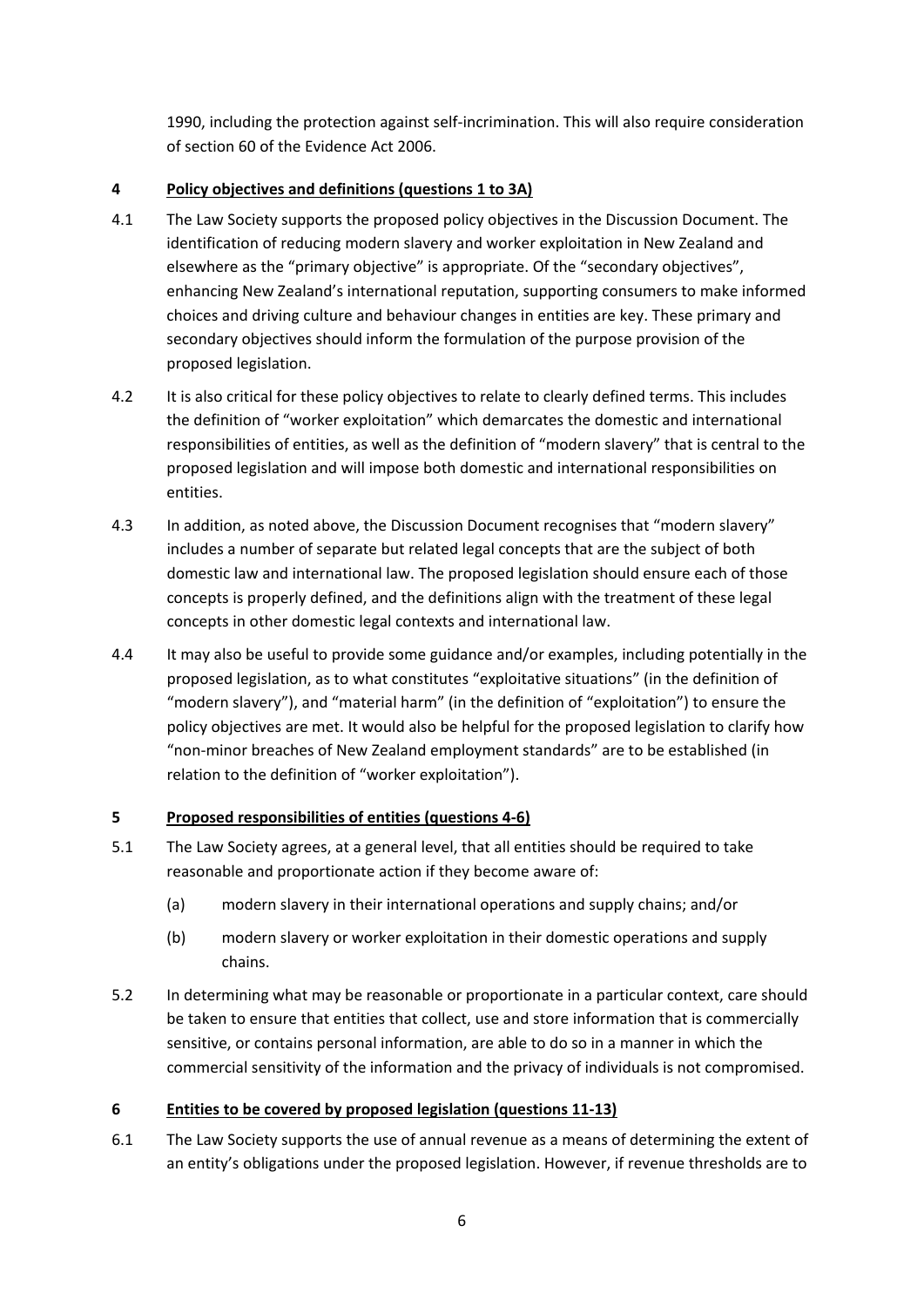1990, including the protection against self-incrimination. This will also require consideration of section 60 of the Evidence Act 2006.

## **4 Policy objectives and definitions (questions 1 to 3A)**

- 4.1 The Law Society supports the proposed policy objectives in the Discussion Document. The identification of reducing modern slavery and worker exploitation in New Zealand and elsewhere as the "primary objective" is appropriate. Of the "secondary objectives", enhancing New Zealand's international reputation, supporting consumers to make informed choices and driving culture and behaviour changes in entities are key. These primary and secondary objectives should inform the formulation of the purpose provision of the proposed legislation.
- 4.2 It is also critical for these policy objectives to relate to clearly defined terms. This includes the definition of "worker exploitation" which demarcates the domestic and international responsibilities of entities, as well as the definition of "modern slavery" that is central to the proposed legislation and will impose both domestic and international responsibilities on entities.
- 4.3 In addition, as noted above, the Discussion Document recognises that "modern slavery" includes a number of separate but related legal concepts that are the subject of both domestic law and international law. The proposed legislation should ensure each of those concepts is properly defined, and the definitions align with the treatment of these legal concepts in other domestic legal contexts and international law.
- 4.4 It may also be useful to provide some guidance and/or examples, including potentially in the proposed legislation, as to what constitutes "exploitative situations" (in the definition of "modern slavery"), and "material harm" (in the definition of "exploitation") to ensure the policy objectives are met. It would also be helpful for the proposed legislation to clarify how "non-minor breaches of New Zealand employment standards" are to be established (in relation to the definition of "worker exploitation").

# **5 Proposed responsibilities of entities (questions 4-6)**

- 5.1 The Law Society agrees, at a general level, that all entities should be required to take reasonable and proportionate action if they become aware of:
	- (a) modern slavery in their international operations and supply chains; and/or
	- (b) modern slavery or worker exploitation in their domestic operations and supply chains.
- 5.2 In determining what may be reasonable or proportionate in a particular context, care should be taken to ensure that entities that collect, use and store information that is commercially sensitive, or contains personal information, are able to do so in a manner in which the commercial sensitivity of the information and the privacy of individuals is not compromised.

# **6 Entities to be covered by proposed legislation (questions 11-13)**

6.1 The Law Society supports the use of annual revenue as a means of determining the extent of an entity's obligations under the proposed legislation. However, if revenue thresholds are to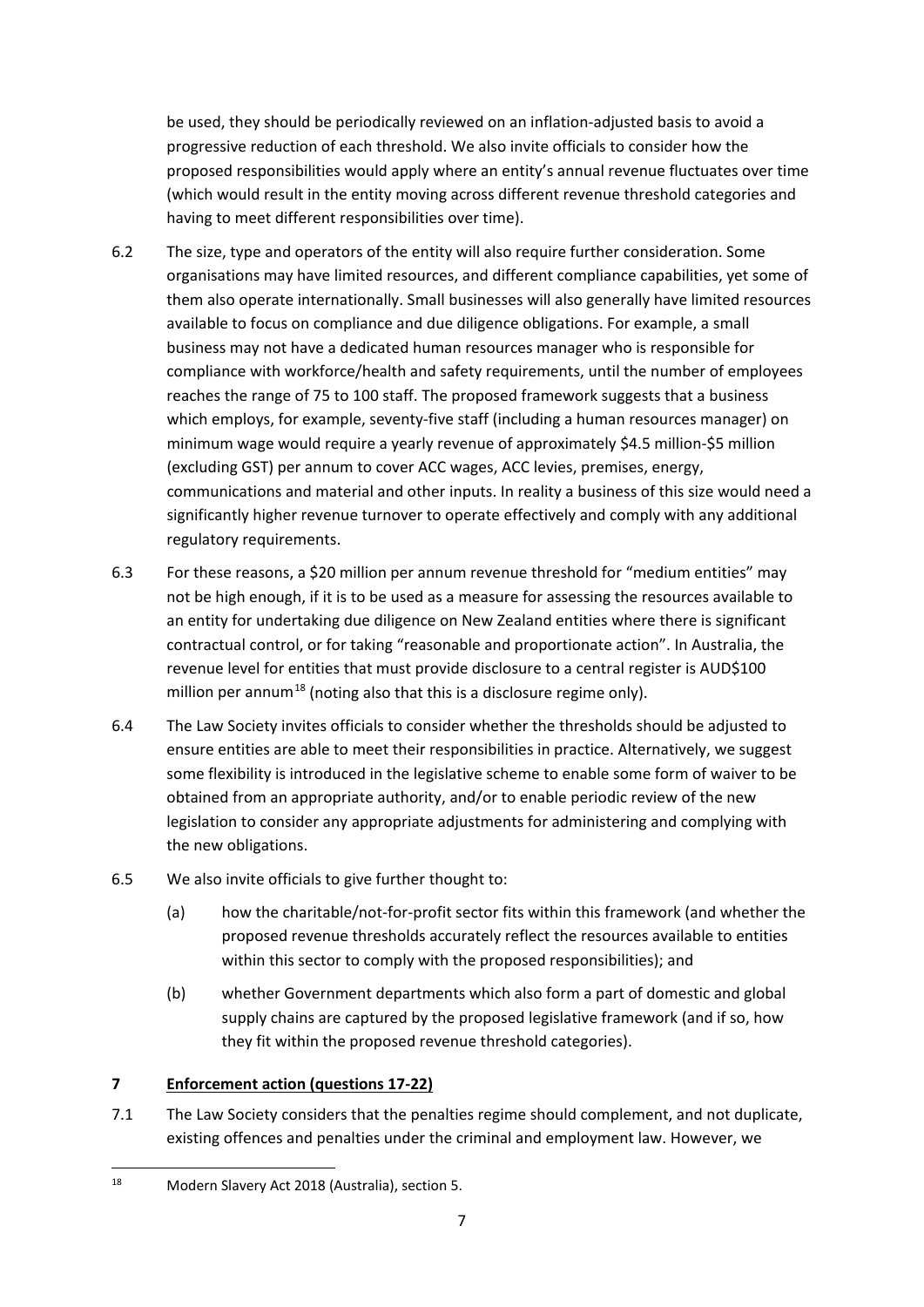be used, they should be periodically reviewed on an inflation-adjusted basis to avoid a progressive reduction of each threshold. We also invite officials to consider how the proposed responsibilities would apply where an entity's annual revenue fluctuates over time (which would result in the entity moving across different revenue threshold categories and having to meet different responsibilities over time).

- 6.2 The size, type and operators of the entity will also require further consideration. Some organisations may have limited resources, and different compliance capabilities, yet some of them also operate internationally. Small businesses will also generally have limited resources available to focus on compliance and due diligence obligations. For example, a small business may not have a dedicated human resources manager who is responsible for compliance with workforce/health and safety requirements, until the number of employees reaches the range of 75 to 100 staff. The proposed framework suggests that a business which employs, for example, seventy-five staff (including a human resources manager) on minimum wage would require a yearly revenue of approximately \$4.5 million-\$5 million (excluding GST) per annum to cover ACC wages, ACC levies, premises, energy, communications and material and other inputs. In reality a business of this size would need a significantly higher revenue turnover to operate effectively and comply with any additional regulatory requirements.
- 6.3 For these reasons, a \$20 million per annum revenue threshold for "medium entities" may not be high enough, if it is to be used as a measure for assessing the resources available to an entity for undertaking due diligence on New Zealand entities where there is significant contractual control, or for taking "reasonable and proportionate action". In Australia, the revenue level for entities that must provide disclosure to a central register is AUD\$100 million per annum<sup>[18](#page-6-0)</sup> (noting also that this is a disclosure regime only).
- 6.4 The Law Society invites officials to consider whether the thresholds should be adjusted to ensure entities are able to meet their responsibilities in practice. Alternatively, we suggest some flexibility is introduced in the legislative scheme to enable some form of waiver to be obtained from an appropriate authority, and/or to enable periodic review of the new legislation to consider any appropriate adjustments for administering and complying with the new obligations.
- 6.5 We also invite officials to give further thought to:
	- (a) how the charitable/not-for-profit sector fits within this framework (and whether the proposed revenue thresholds accurately reflect the resources available to entities within this sector to comply with the proposed responsibilities); and
	- (b) whether Government departments which also form a part of domestic and global supply chains are captured by the proposed legislative framework (and if so, how they fit within the proposed revenue threshold categories).

# **7 Enforcement action (questions 17-22)**

7.1 The Law Society considers that the penalties regime should complement, and not duplicate, existing offences and penalties under the criminal and employment law. However, we

<span id="page-6-0"></span><sup>18</sup> Modern Slavery Act 2018 (Australia), section 5.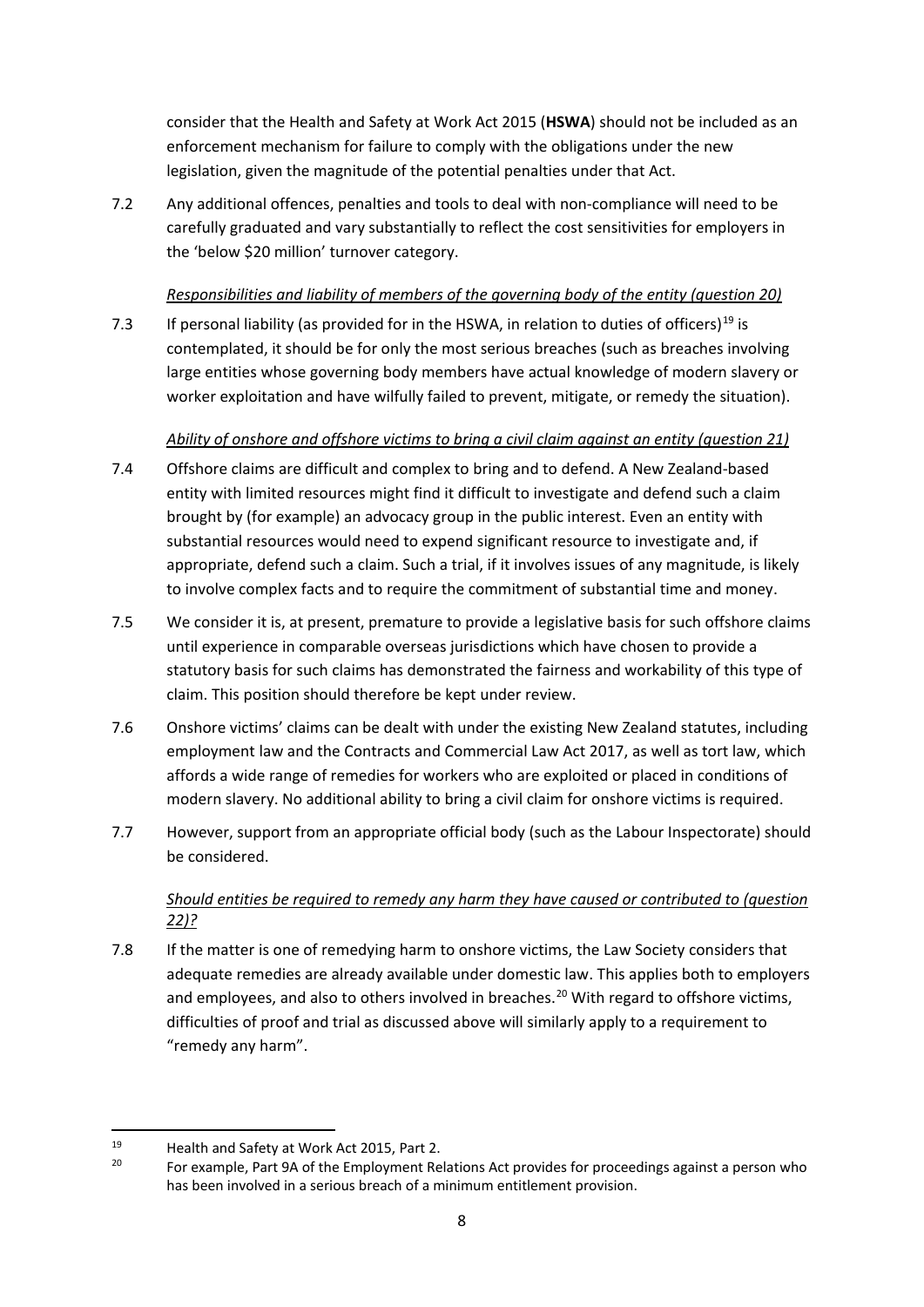consider that the Health and Safety at Work Act 2015 (**HSWA**) should not be included as an enforcement mechanism for failure to comply with the obligations under the new legislation, given the magnitude of the potential penalties under that Act.

7.2 Any additional offences, penalties and tools to deal with non-compliance will need to be carefully graduated and vary substantially to reflect the cost sensitivities for employers in the 'below \$20 million' turnover category.

## *Responsibilities and liability of members of the governing body of the entity (question 20)*

7.3 If personal liability (as provided for in the HSWA, in relation to duties of officers)<sup>[19](#page-7-0)</sup> is contemplated, it should be for only the most serious breaches (such as breaches involving large entities whose governing body members have actual knowledge of modern slavery or worker exploitation and have wilfully failed to prevent, mitigate, or remedy the situation).

## *Ability of onshore and offshore victims to bring a civil claim against an entity (question 21)*

- 7.4 Offshore claims are difficult and complex to bring and to defend. A New Zealand-based entity with limited resources might find it difficult to investigate and defend such a claim brought by (for example) an advocacy group in the public interest. Even an entity with substantial resources would need to expend significant resource to investigate and, if appropriate, defend such a claim. Such a trial, if it involves issues of any magnitude, is likely to involve complex facts and to require the commitment of substantial time and money.
- 7.5 We consider it is, at present, premature to provide a legislative basis for such offshore claims until experience in comparable overseas jurisdictions which have chosen to provide a statutory basis for such claims has demonstrated the fairness and workability of this type of claim. This position should therefore be kept under review.
- 7.6 Onshore victims' claims can be dealt with under the existing New Zealand statutes, including employment law and the Contracts and Commercial Law Act 2017, as well as tort law, which affords a wide range of remedies for workers who are exploited or placed in conditions of modern slavery. No additional ability to bring a civil claim for onshore victims is required.
- 7.7 However, support from an appropriate official body (such as the Labour Inspectorate) should be considered.

# *Should entities be required to remedy any harm they have caused or contributed to (question 22)?*

7.8 If the matter is one of remedying harm to onshore victims, the Law Society considers that adequate remedies are already available under domestic law. This applies both to employers and employees, and also to others involved in breaches.<sup>[20](#page-7-1)</sup> With regard to offshore victims, difficulties of proof and trial as discussed above will similarly apply to a requirement to "remedy any harm".

<span id="page-7-1"></span><span id="page-7-0"></span><sup>19</sup> Health and Safety at Work Act 2015, Part 2.<br>20 For example, Part 9A of the Employment Relations Act provides for proceedings against a person who has been involved in a serious breach of a minimum entitlement provision.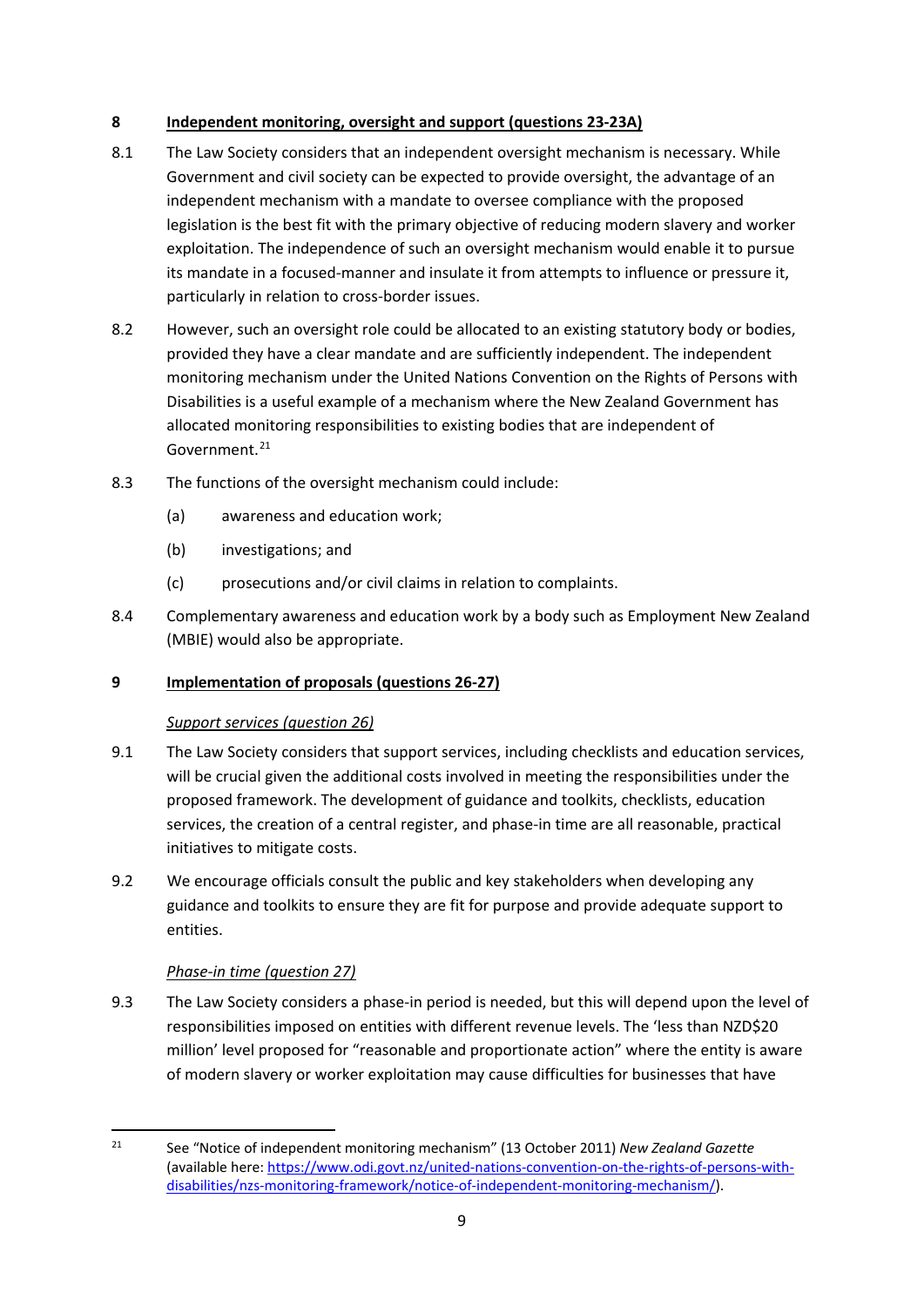## **8 Independent monitoring, oversight and support (questions 23-23A)**

- 8.1 The Law Society considers that an independent oversight mechanism is necessary. While Government and civil society can be expected to provide oversight, the advantage of an independent mechanism with a mandate to oversee compliance with the proposed legislation is the best fit with the primary objective of reducing modern slavery and worker exploitation. The independence of such an oversight mechanism would enable it to pursue its mandate in a focused-manner and insulate it from attempts to influence or pressure it, particularly in relation to cross-border issues.
- 8.2 However, such an oversight role could be allocated to an existing statutory body or bodies, provided they have a clear mandate and are sufficiently independent. The independent monitoring mechanism under the United Nations Convention on the Rights of Persons with Disabilities is a useful example of a mechanism where the New Zealand Government has allocated monitoring responsibilities to existing bodies that are independent of Government.<sup>[21](#page-8-0)</sup>
- 8.3 The functions of the oversight mechanism could include:
	- (a) awareness and education work;
	- (b) investigations; and
	- (c) prosecutions and/or civil claims in relation to complaints.
- 8.4 Complementary awareness and education work by a body such as Employment New Zealand (MBIE) would also be appropriate.

## **9 Implementation of proposals (questions 26-27)**

## *Support services (question 26)*

- 9.1 The Law Society considers that support services, including checklists and education services, will be crucial given the additional costs involved in meeting the responsibilities under the proposed framework. The development of guidance and toolkits, checklists, education services, the creation of a central register, and phase-in time are all reasonable, practical initiatives to mitigate costs.
- 9.2 We encourage officials consult the public and key stakeholders when developing any guidance and toolkits to ensure they are fit for purpose and provide adequate support to entities.

# *Phase-in time (question 27)*

9.3 The Law Society considers a phase-in period is needed, but this will depend upon the level of responsibilities imposed on entities with different revenue levels. The 'less than NZD\$20 million' level proposed for "reasonable and proportionate action" where the entity is aware of modern slavery or worker exploitation may cause difficulties for businesses that have

<span id="page-8-0"></span><sup>21</sup> See "Notice of independent monitoring mechanism" (13 October 2011) *New Zealand Gazette*  (available here: [https://www.odi.govt.nz/united-nations-convention-on-the-rights-of-persons-with](https://www.odi.govt.nz/united-nations-convention-on-the-rights-of-persons-with-disabilities/nzs-monitoring-framework/notice-of-independent-monitoring-mechanism/)[disabilities/nzs-monitoring-framework/notice-of-independent-monitoring-mechanism/\)](https://www.odi.govt.nz/united-nations-convention-on-the-rights-of-persons-with-disabilities/nzs-monitoring-framework/notice-of-independent-monitoring-mechanism/).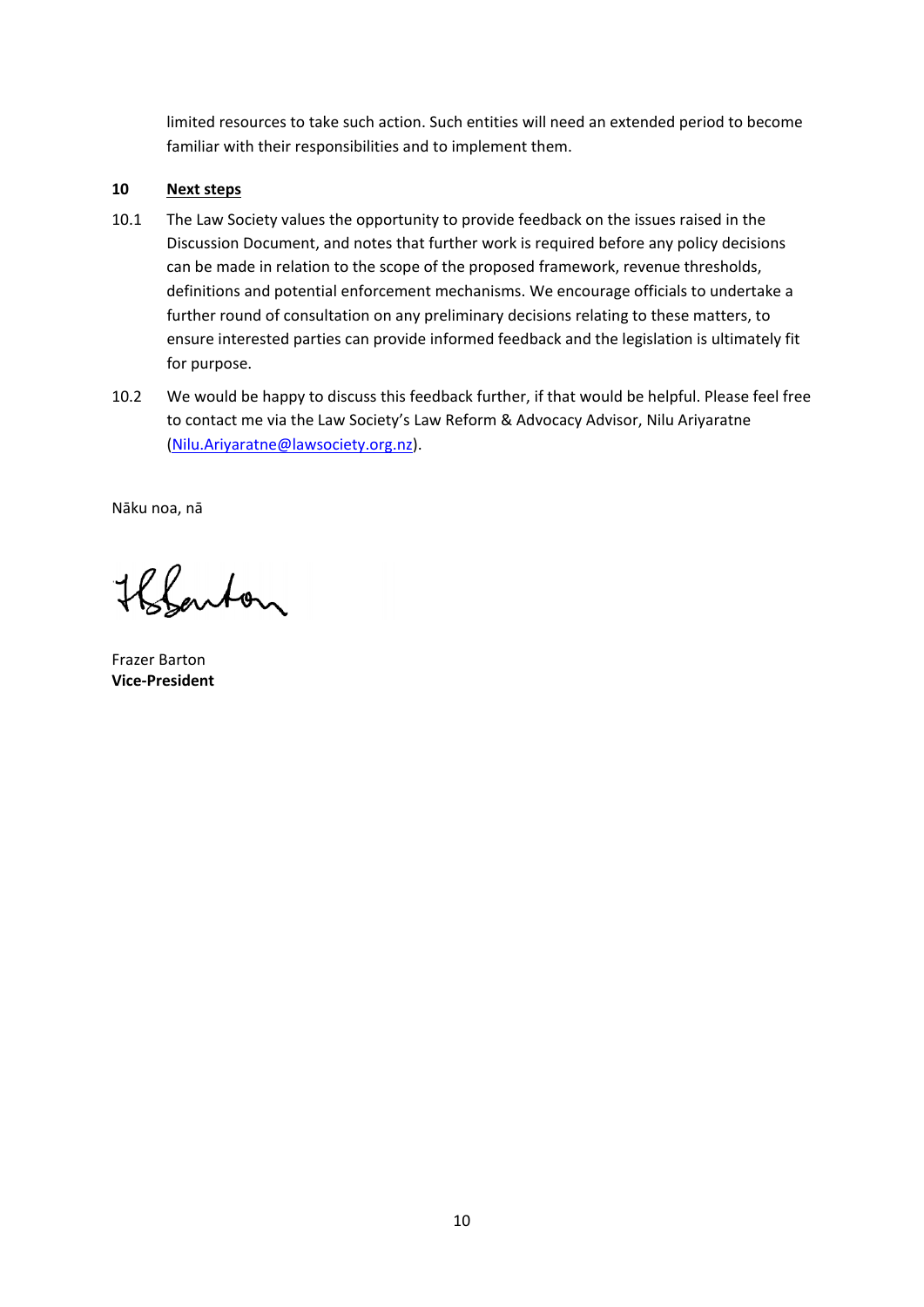limited resources to take such action. Such entities will need an extended period to become familiar with their responsibilities and to implement them.

#### **10 Next steps**

- 10.1 The Law Society values the opportunity to provide feedback on the issues raised in the Discussion Document, and notes that further work is required before any policy decisions can be made in relation to the scope of the proposed framework, revenue thresholds, definitions and potential enforcement mechanisms. We encourage officials to undertake a further round of consultation on any preliminary decisions relating to these matters, to ensure interested parties can provide informed feedback and the legislation is ultimately fit for purpose.
- 10.2 We would be happy to discuss this feedback further, if that would be helpful. Please feel free to contact me via the Law Society's Law Reform & Advocacy Advisor, Nilu Ariyaratne [\(Nilu.Ariyaratne@lawsociety.org.n](mailto:Nilu.Ariyaratne@lawsociety.org.nz)z).

Nāku noa, nā

Holanton

Frazer Barton **Vice-President**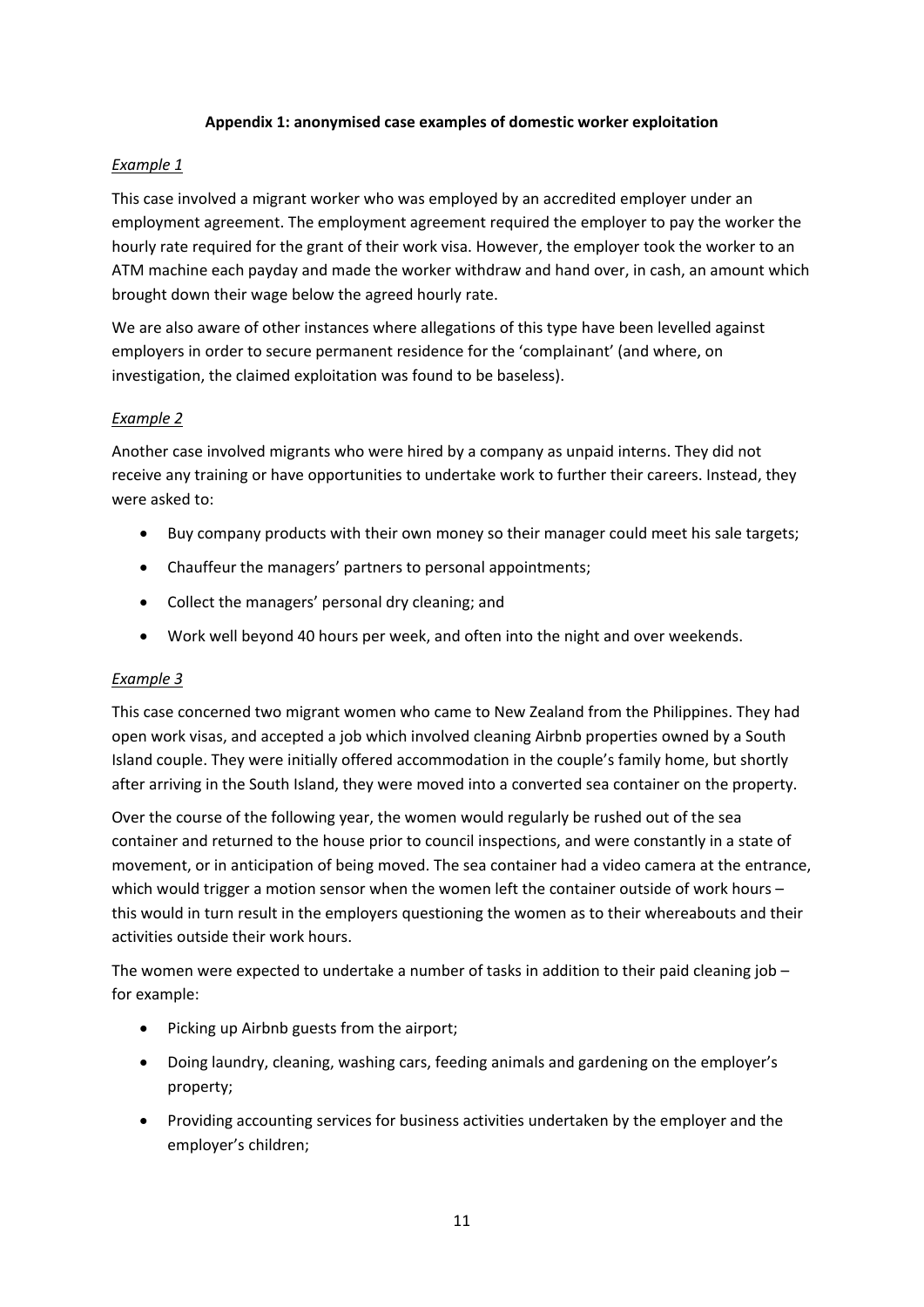#### **Appendix 1: anonymised case examples of domestic worker exploitation**

#### *Example 1*

This case involved a migrant worker who was employed by an accredited employer under an employment agreement. The employment agreement required the employer to pay the worker the hourly rate required for the grant of their work visa. However, the employer took the worker to an ATM machine each payday and made the worker withdraw and hand over, in cash, an amount which brought down their wage below the agreed hourly rate.

We are also aware of other instances where allegations of this type have been levelled against employers in order to secure permanent residence for the 'complainant' (and where, on investigation, the claimed exploitation was found to be baseless).

#### *Example 2*

Another case involved migrants who were hired by a company as unpaid interns. They did not receive any training or have opportunities to undertake work to further their careers. Instead, they were asked to:

- Buy company products with their own money so their manager could meet his sale targets;
- Chauffeur the managers' partners to personal appointments;
- Collect the managers' personal dry cleaning; and
- Work well beyond 40 hours per week, and often into the night and over weekends.

#### *Example 3*

This case concerned two migrant women who came to New Zealand from the Philippines. They had open work visas, and accepted a job which involved cleaning Airbnb properties owned by a South Island couple. They were initially offered accommodation in the couple's family home, but shortly after arriving in the South Island, they were moved into a converted sea container on the property.

Over the course of the following year, the women would regularly be rushed out of the sea container and returned to the house prior to council inspections, and were constantly in a state of movement, or in anticipation of being moved. The sea container had a video camera at the entrance, which would trigger a motion sensor when the women left the container outside of work hours – this would in turn result in the employers questioning the women as to their whereabouts and their activities outside their work hours.

The women were expected to undertake a number of tasks in addition to their paid cleaning job – for example:

- Picking up Airbnb guests from the airport;
- Doing laundry, cleaning, washing cars, feeding animals and gardening on the employer's property;
- Providing accounting services for business activities undertaken by the employer and the employer's children;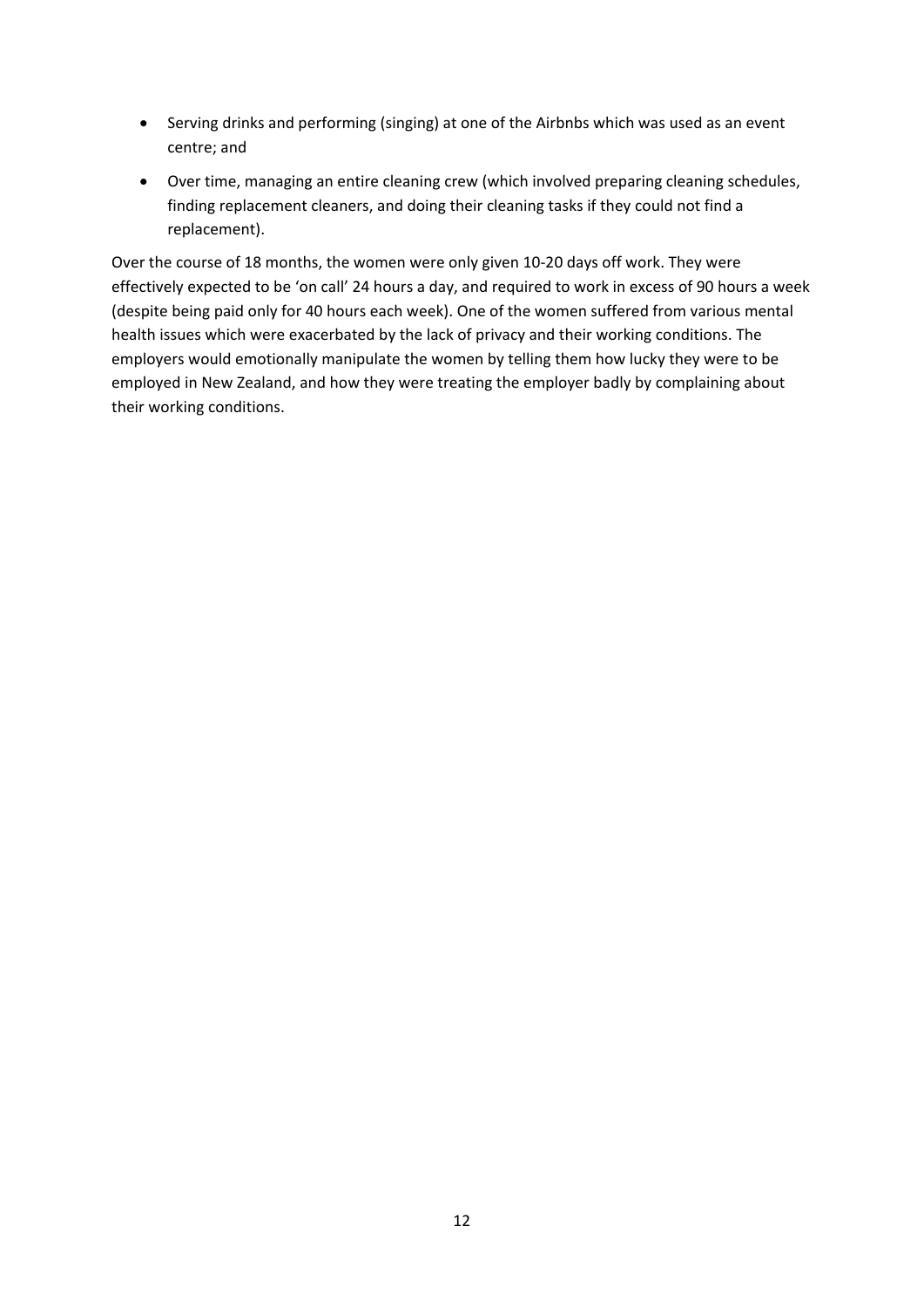- Serving drinks and performing (singing) at one of the Airbnbs which was used as an event centre; and
- Over time, managing an entire cleaning crew (which involved preparing cleaning schedules, finding replacement cleaners, and doing their cleaning tasks if they could not find a replacement).

Over the course of 18 months, the women were only given 10-20 days off work. They were effectively expected to be 'on call' 24 hours a day, and required to work in excess of 90 hours a week (despite being paid only for 40 hours each week). One of the women suffered from various mental health issues which were exacerbated by the lack of privacy and their working conditions. The employers would emotionally manipulate the women by telling them how lucky they were to be employed in New Zealand, and how they were treating the employer badly by complaining about their working conditions.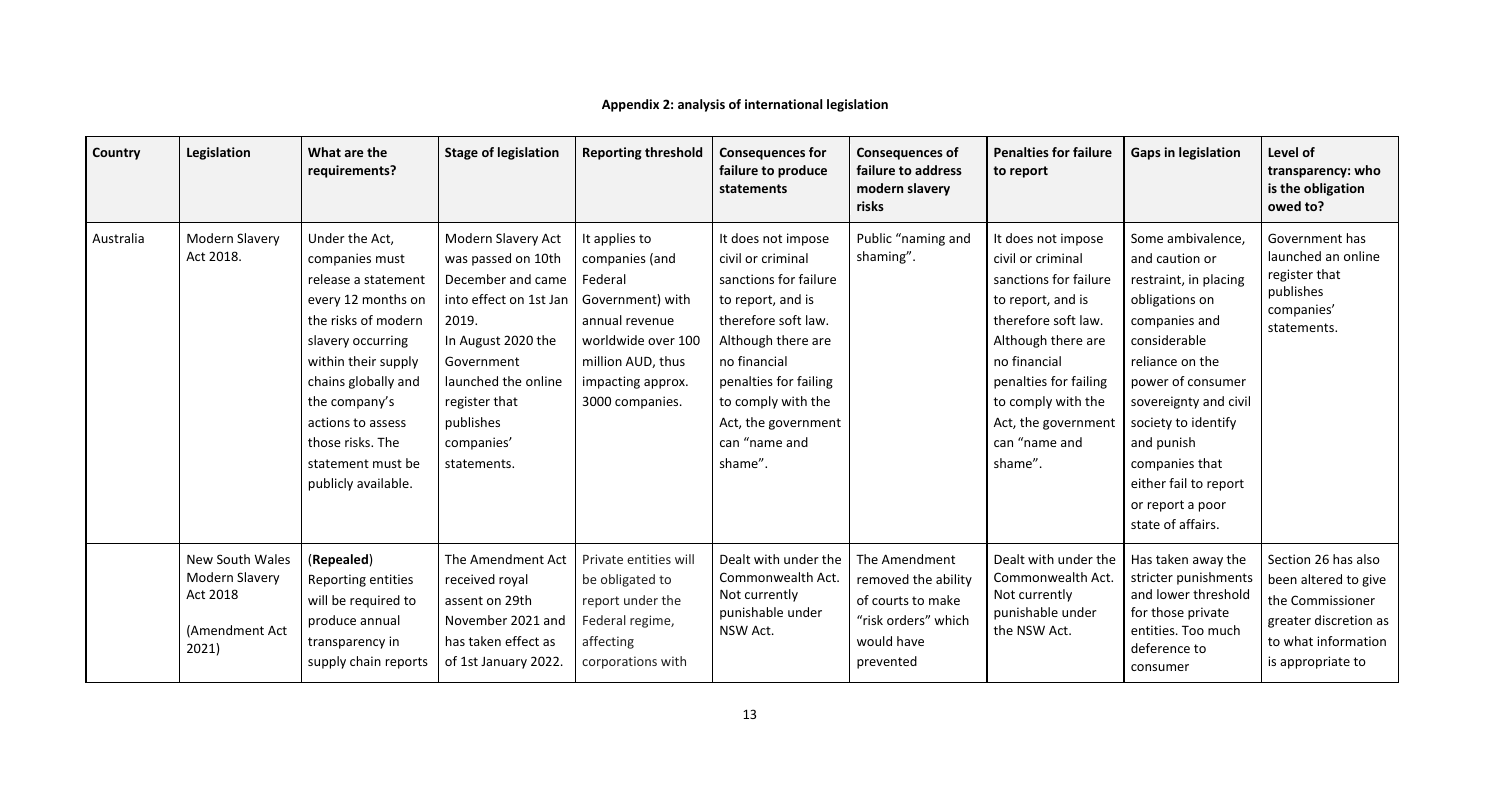# **Appendix 2: analysis of international legislation**

| Country   | Legislation                                                                     | What are the<br>requirements?                                                                                                                                                                                                                                                 | <b>Stage of legislation</b>                                                                                                                                                                                                   | <b>Reporting threshold</b>                                                                                                                                          | <b>Consequences for</b><br>failure to produce<br>statements                                                                                                                                                                                          | <b>Consequences of</b><br>failure to address<br>modern slavery<br>risks                                     | <b>Penalties for failure</b><br>to report                                                                                                                                                                                                            | <b>Gaps in legislation</b>                                                                                                                                                                                                                                                                                | Level of<br>transparency: who<br>is the obligation<br>owed to?                                                                       |
|-----------|---------------------------------------------------------------------------------|-------------------------------------------------------------------------------------------------------------------------------------------------------------------------------------------------------------------------------------------------------------------------------|-------------------------------------------------------------------------------------------------------------------------------------------------------------------------------------------------------------------------------|---------------------------------------------------------------------------------------------------------------------------------------------------------------------|------------------------------------------------------------------------------------------------------------------------------------------------------------------------------------------------------------------------------------------------------|-------------------------------------------------------------------------------------------------------------|------------------------------------------------------------------------------------------------------------------------------------------------------------------------------------------------------------------------------------------------------|-----------------------------------------------------------------------------------------------------------------------------------------------------------------------------------------------------------------------------------------------------------------------------------------------------------|--------------------------------------------------------------------------------------------------------------------------------------|
| Australia | Modern Slavery<br>Act 2018.                                                     | Under the Act,<br>companies must<br>release a statement<br>every 12 months on<br>the risks of modern<br>slavery occurring<br>within their supply<br>chains globally and<br>the company's<br>actions to assess<br>those risks. The<br>statement must be<br>publicly available. | <b>Modern Slavery Act</b><br>was passed on 10th<br>December and came<br>into effect on 1st Jan<br>2019.<br>In August 2020 the<br>Government<br>launched the online<br>register that<br>publishes<br>companies'<br>statements. | It applies to<br>companies (and<br>Federal<br>Government) with<br>annual revenue<br>worldwide over 100<br>million AUD, thus<br>impacting approx.<br>3000 companies. | It does not impose<br>civil or criminal<br>sanctions for failure<br>to report, and is<br>therefore soft law.<br>Although there are<br>no financial<br>penalties for failing<br>to comply with the<br>Act, the government<br>can "name and<br>shame". | Public "naming and<br>shaming".                                                                             | It does not impose<br>civil or criminal<br>sanctions for failure<br>to report, and is<br>therefore soft law.<br>Although there are<br>no financial<br>penalties for failing<br>to comply with the<br>Act, the government<br>can "name and<br>shame". | Some ambivalence,<br>and caution or<br>restraint, in placing<br>obligations on<br>companies and<br>considerable<br>reliance on the<br>power of consumer<br>sovereignty and civil<br>society to identify<br>and punish<br>companies that<br>either fail to report<br>or report a poor<br>state of affairs. | Government has<br>launched an online<br>register that<br>publishes<br>companies'<br>statements.                                      |
|           | New South Wales<br><b>Modern Slavery</b><br>Act 2018<br>(Amendment Act<br>2021) | (Repealed)<br>Reporting entities<br>will be required to<br>produce annual<br>transparency in<br>supply chain reports                                                                                                                                                          | The Amendment Act<br>received royal<br>assent on 29th<br>November 2021 and<br>has taken effect as<br>of 1st January 2022.                                                                                                     | Private entities will<br>be obligated to<br>report under the<br>Federal regime,<br>affecting<br>corporations with                                                   | Dealt with under the<br>Commonwealth Act.<br>Not currently<br>punishable under<br>NSW Act.                                                                                                                                                           | The Amendment<br>removed the ability<br>of courts to make<br>"risk orders" which<br>would have<br>prevented | Dealt with under the<br>Commonwealth Act.<br>Not currently<br>punishable under<br>the NSW Act.                                                                                                                                                       | Has taken away the<br>stricter punishments<br>and lower threshold<br>for those private<br>entities. Too much<br>deference to<br>consumer                                                                                                                                                                  | Section 26 has also<br>been altered to give<br>the Commissioner<br>greater discretion as<br>to what information<br>is appropriate to |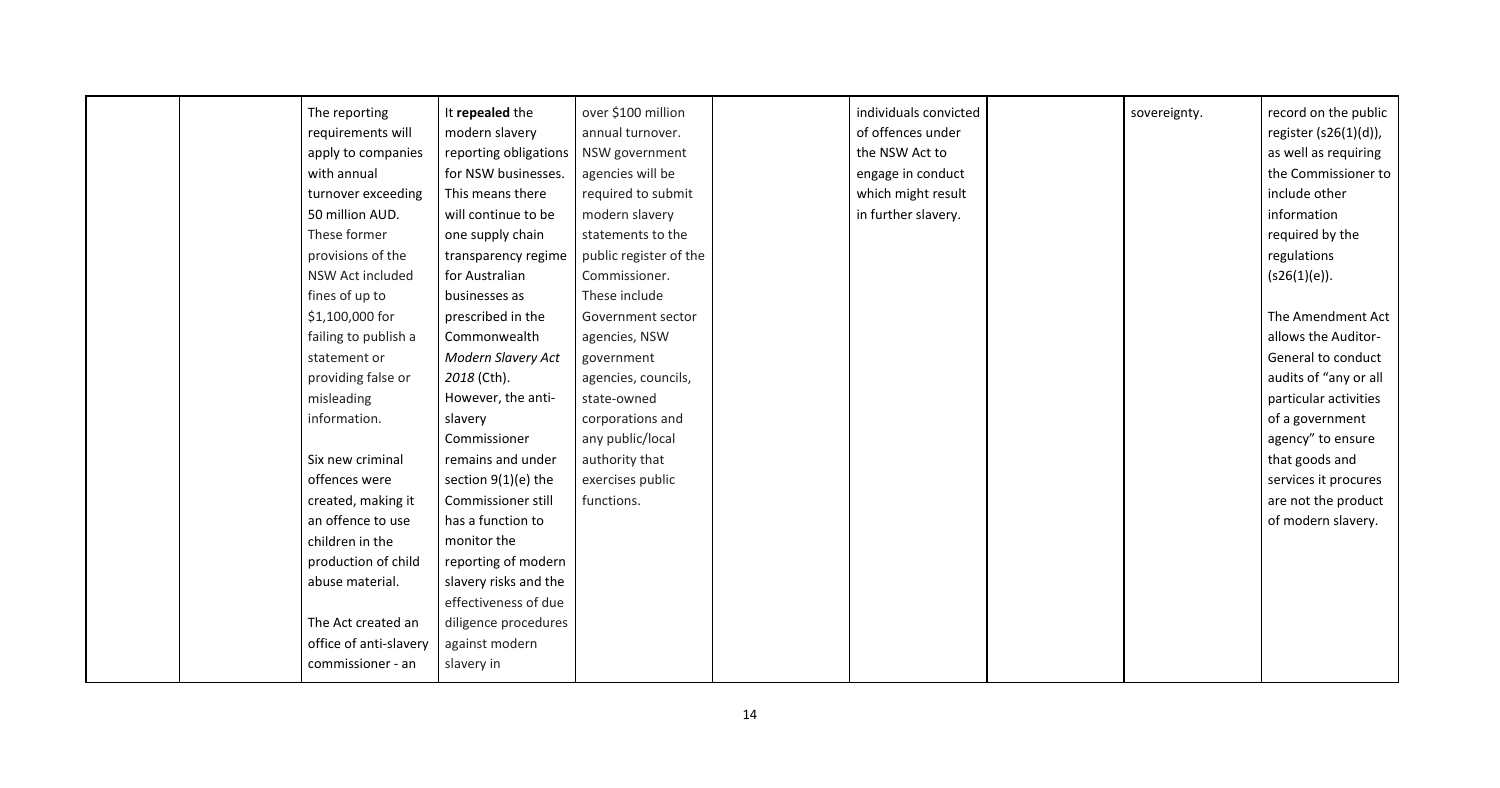| The reporting          | It repealed the       | over \$100 million     | individuals convicted | sovereignty. | record on the public  |
|------------------------|-----------------------|------------------------|-----------------------|--------------|-----------------------|
| requirements will      | modern slavery        | annual turnover.       | of offences under     |              | register (s26(1)(d)), |
| apply to companies     | reporting obligations | NSW government         | the NSW Act to        |              | as well as requiring  |
| with annual            | for NSW businesses.   | agencies will be       | engage in conduct     |              | the Commissioner to   |
| turnover exceeding     | This means there      | required to submit     | which might result    |              | include other         |
| 50 million AUD.        | will continue to be   | modern slavery         | in further slavery.   |              | information           |
| These former           | one supply chain      | statements to the      |                       |              | required by the       |
| provisions of the      | transparency regime   | public register of the |                       |              | regulations           |
| NSW Act included       | for Australian        | Commissioner.          |                       |              | (s26(1)(e)).          |
| fines of up to         | businesses as         | These include          |                       |              |                       |
| $$1,100,000$ for       | prescribed in the     | Government sector      |                       |              | The Amendment Act     |
| failing to publish a   | Commonwealth          | agencies, NSW          |                       |              | allows the Auditor-   |
| statement or           | Modern Slavery Act    | government             |                       |              | General to conduct    |
| providing false or     | 2018 (Cth).           | agencies, councils,    |                       |              | audits of "any or all |
| misleading             | However, the anti-    | state-owned            |                       |              | particular activities |
| information.           | slavery               | corporations and       |                       |              | of a government       |
|                        | Commissioner          | any public/local       |                       |              | agency" to ensure     |
| Six new criminal       | remains and under     | authority that         |                       |              | that goods and        |
| offences were          | section $9(1)(e)$ the | exercises public       |                       |              | services it procures  |
| created, making it     | Commissioner still    | functions.             |                       |              | are not the product   |
| an offence to use      | has a function to     |                        |                       |              | of modern slavery.    |
| children in the        | monitor the           |                        |                       |              |                       |
| production of child    | reporting of modern   |                        |                       |              |                       |
| abuse material.        | slavery risks and the |                        |                       |              |                       |
|                        | effectiveness of due  |                        |                       |              |                       |
| The Act created an     | diligence procedures  |                        |                       |              |                       |
| office of anti-slavery | against modern        |                        |                       |              |                       |
| commissioner - an      | slavery in            |                        |                       |              |                       |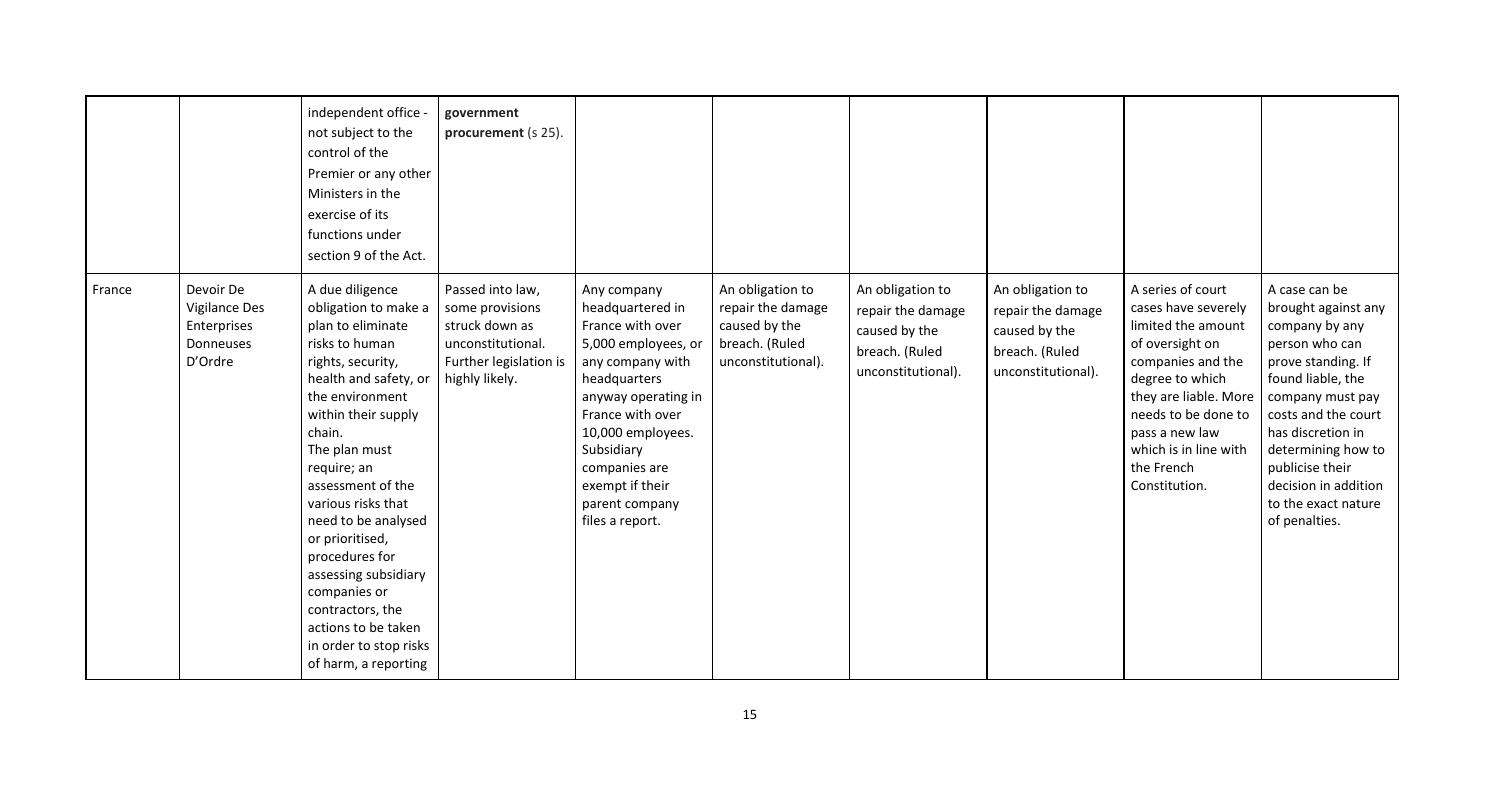|        |                                                                          | independent office<br>not subject to the<br>control of the<br>Premier or any other<br>Ministers in the<br>exercise of its<br>functions under<br>section 9 of the Act.                                                                                                                                                                                                                                                                                        | government<br>procurement (s 25).                                                                                      |                                                                                                                                                                                                                                                                       |                                                                                                |                                                                                                |                                                                                                |                                                                                                                                                                                                                                                     |                                                                                                                                                                                                                                                                                              |
|--------|--------------------------------------------------------------------------|--------------------------------------------------------------------------------------------------------------------------------------------------------------------------------------------------------------------------------------------------------------------------------------------------------------------------------------------------------------------------------------------------------------------------------------------------------------|------------------------------------------------------------------------------------------------------------------------|-----------------------------------------------------------------------------------------------------------------------------------------------------------------------------------------------------------------------------------------------------------------------|------------------------------------------------------------------------------------------------|------------------------------------------------------------------------------------------------|------------------------------------------------------------------------------------------------|-----------------------------------------------------------------------------------------------------------------------------------------------------------------------------------------------------------------------------------------------------|----------------------------------------------------------------------------------------------------------------------------------------------------------------------------------------------------------------------------------------------------------------------------------------------|
| France | Devoir De<br><b>Vigilance Des</b><br>Enterprises<br>Donneuses<br>D'Ordre | A due diligence<br>obligation to make a<br>plan to eliminate<br>risks to human<br>rights, security,<br>health and safety, or<br>the environment<br>within their supply<br>chain.<br>The plan must<br>require; an<br>assessment of the<br>various risks that<br>need to be analysed<br>or prioritised,<br>procedures for<br>assessing subsidiary<br>companies or<br>contractors, the<br>actions to be taken<br>in order to stop risks<br>of harm, a reporting | Passed into law,<br>some provisions<br>struck down as<br>unconstitutional.<br>Further legislation is<br>highly likely. | Any company<br>headquartered in<br>France with over<br>5,000 employees, or<br>any company with<br>headquarters<br>anyway operating in<br>France with over<br>10,000 employees.<br>Subsidiary<br>companies are<br>exempt if their<br>parent company<br>files a report. | An obligation to<br>repair the damage<br>caused by the<br>breach. (Ruled<br>unconstitutional). | An obligation to<br>repair the damage<br>caused by the<br>breach. (Ruled<br>unconstitutional). | An obligation to<br>repair the damage<br>caused by the<br>breach. (Ruled<br>unconstitutional). | A series of court<br>cases have severely<br>limited the amount<br>of oversight on<br>companies and the<br>degree to which<br>they are liable. More<br>needs to be done to<br>pass a new law<br>which is in line with<br>the French<br>Constitution. | A case can be<br>brought against any<br>company by any<br>person who can<br>prove standing. If<br>found liable, the<br>company must pay<br>costs and the court<br>has discretion in<br>determining how to<br>publicise their<br>decision in addition<br>to the exact nature<br>of penalties. |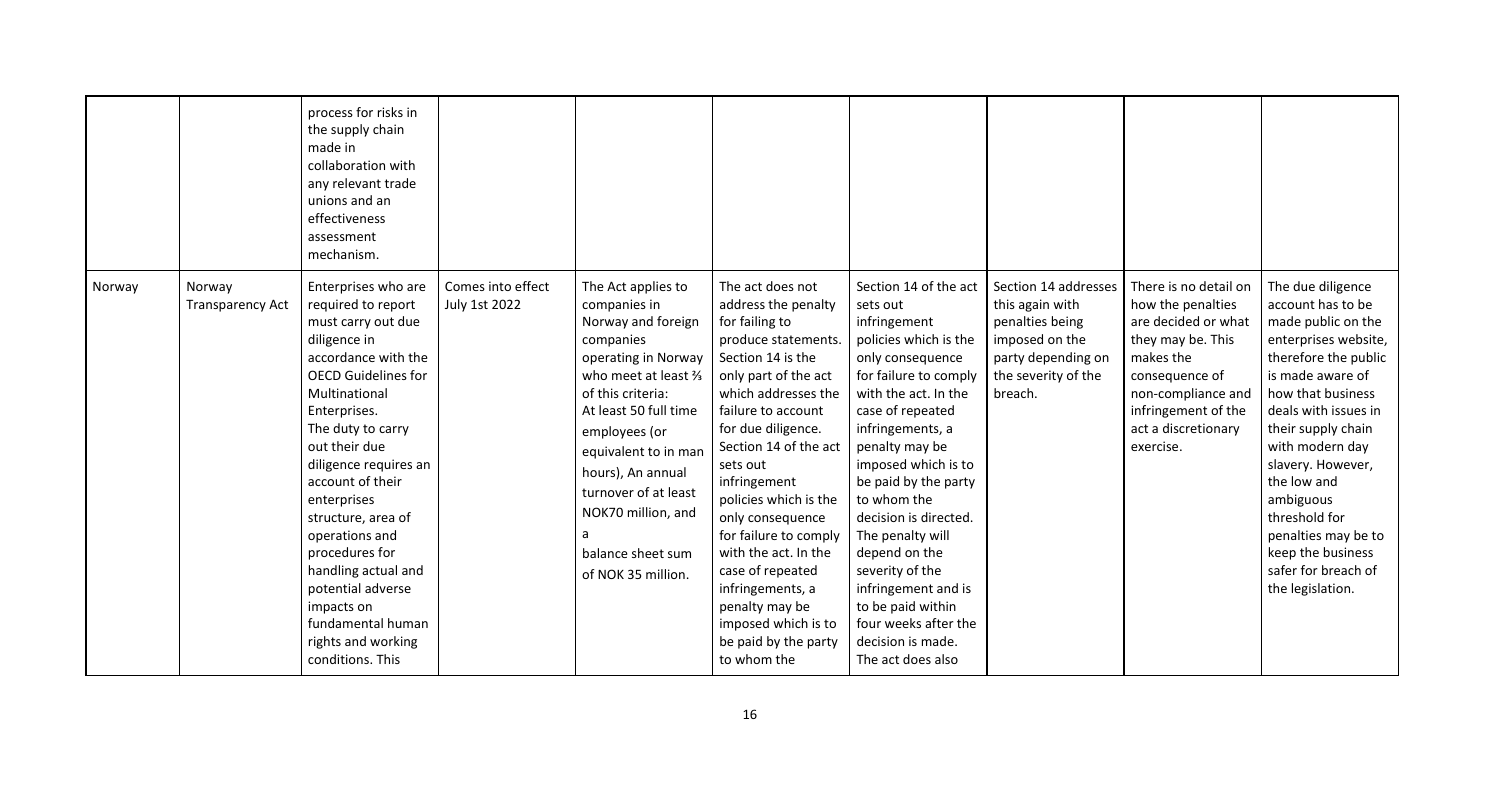|        |                                   | process for risks in<br>the supply chain<br>made in<br>collaboration with<br>any relevant trade<br>unions and an<br>effectiveness<br>assessment<br>mechanism.                                                                                                                                                                                                                                                                                              |                                    |                                                                                                                                                                                                                                                                                                                               |                                                                                                                                                                                                                                                                                                                                                                                                                                                                             |                                                                                                                                                                                                                                                                                                                                                                                                                                                                        |                                                                                                                                      |                                                                                                                                                                                                        |                                                                                                                                                                                                                                                                                                                                                                                 |
|--------|-----------------------------------|------------------------------------------------------------------------------------------------------------------------------------------------------------------------------------------------------------------------------------------------------------------------------------------------------------------------------------------------------------------------------------------------------------------------------------------------------------|------------------------------------|-------------------------------------------------------------------------------------------------------------------------------------------------------------------------------------------------------------------------------------------------------------------------------------------------------------------------------|-----------------------------------------------------------------------------------------------------------------------------------------------------------------------------------------------------------------------------------------------------------------------------------------------------------------------------------------------------------------------------------------------------------------------------------------------------------------------------|------------------------------------------------------------------------------------------------------------------------------------------------------------------------------------------------------------------------------------------------------------------------------------------------------------------------------------------------------------------------------------------------------------------------------------------------------------------------|--------------------------------------------------------------------------------------------------------------------------------------|--------------------------------------------------------------------------------------------------------------------------------------------------------------------------------------------------------|---------------------------------------------------------------------------------------------------------------------------------------------------------------------------------------------------------------------------------------------------------------------------------------------------------------------------------------------------------------------------------|
| Norway | Norway<br><b>Transparency Act</b> | Enterprises who are<br>required to report<br>must carry out due<br>diligence in<br>accordance with the<br><b>OECD Guidelines for</b><br>Multinational<br>Enterprises.<br>The duty to carry<br>out their due<br>diligence requires an<br>account of their<br>enterprises<br>structure, area of<br>operations and<br>procedures for<br>handling actual and<br>potential adverse<br>impacts on<br>fundamental human<br>rights and working<br>conditions. This | Comes into effect<br>July 1st 2022 | The Act applies to<br>companies in<br>Norway and foreign<br>companies<br>operating in Norway<br>who meet at least %<br>of this criteria:<br>At least 50 full time<br>employees (or<br>equivalent to in man<br>hours), An annual<br>turnover of at least<br>NOK70 million, and<br>a<br>balance sheet sum<br>of NOK 35 million. | The act does not<br>address the penalty<br>for failing to<br>produce statements.<br>Section 14 is the<br>only part of the act<br>which addresses the<br>failure to account<br>for due diligence.<br>Section 14 of the act<br>sets out<br>infringement<br>policies which is the<br>only consequence<br>for failure to comply<br>with the act. In the<br>case of repeated<br>infringements, a<br>penalty may be<br>imposed which is to<br>be paid by the party<br>to whom the | Section 14 of the act<br>sets out<br>infringement<br>policies which is the<br>only consequence<br>for failure to comply<br>with the act. In the<br>case of repeated<br>infringements, a<br>penalty may be<br>imposed which is to<br>be paid by the party<br>to whom the<br>decision is directed.<br>The penalty will<br>depend on the<br>severity of the<br>infringement and is<br>to be paid within<br>four weeks after the<br>decision is made.<br>The act does also | Section 14 addresses<br>this again with<br>penalties being<br>imposed on the<br>party depending on<br>the severity of the<br>breach. | There is no detail on<br>how the penalties<br>are decided or what<br>they may be. This<br>makes the<br>consequence of<br>non-compliance and<br>infringement of the<br>act a discretionary<br>exercise. | The due diligence<br>account has to be<br>made public on the<br>enterprises website,<br>therefore the public<br>is made aware of<br>how that business<br>deals with issues in<br>their supply chain<br>with modern day<br>slavery. However,<br>the low and<br>ambiguous<br>threshold for<br>penalties may be to<br>keep the business<br>safer for breach of<br>the legislation. |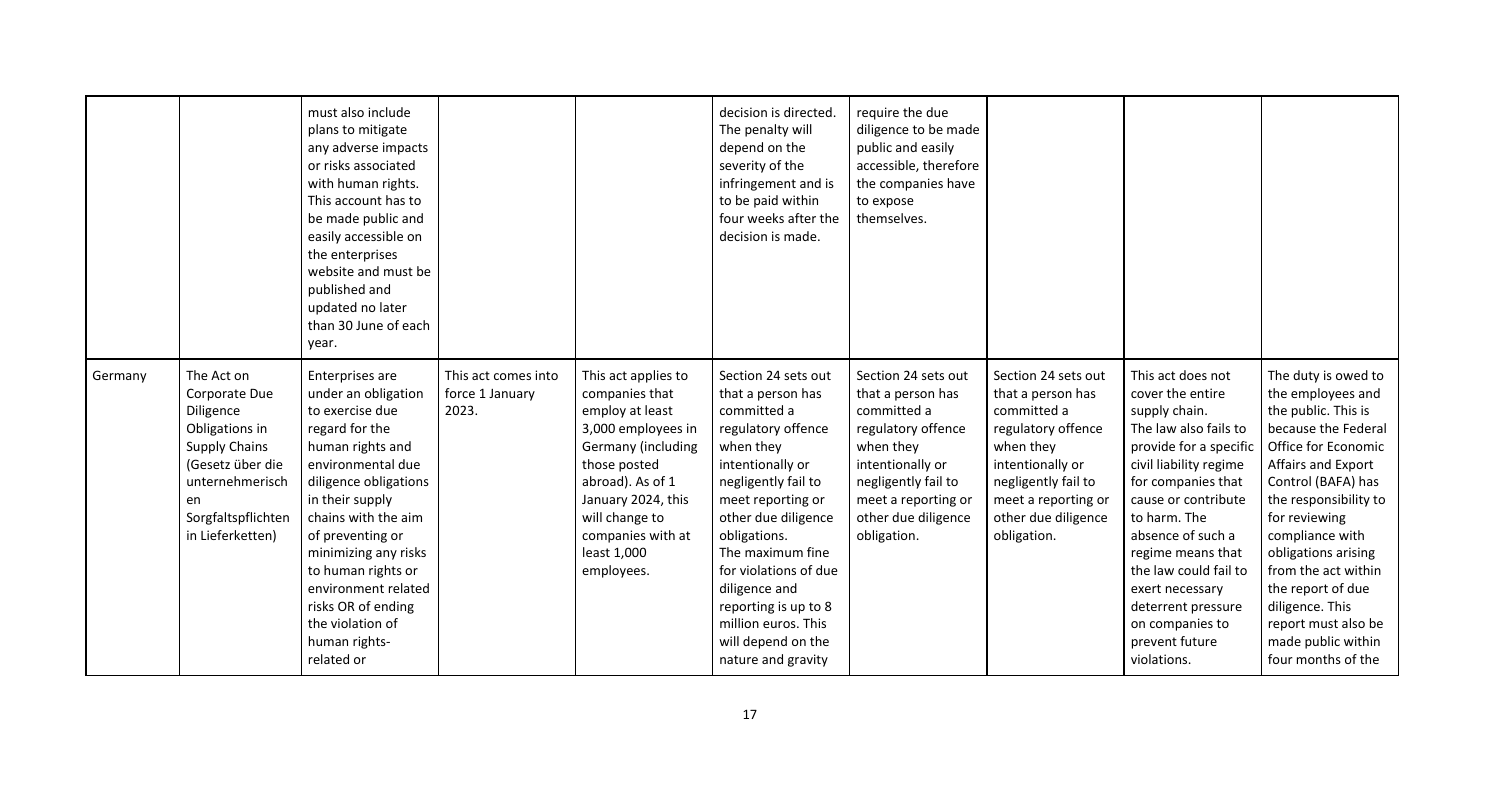|         |                                                                                                                                                                           | must also include<br>plans to mitigate<br>any adverse impacts<br>or risks associated<br>with human rights.<br>This account has to<br>be made public and<br>easily accessible on<br>the enterprises<br>website and must be<br>published and<br>updated no later<br>than 30 June of each<br>year.                                                           |                                                 |                                                                                                                                                                                                                                    | decision is directed.<br>The penalty will<br>depend on the<br>severity of the<br>infringement and is<br>to be paid within<br>four weeks after the<br>decision is made.                                                                                                                                                                                     | require the due<br>diligence to be made<br>public and easily<br>accessible, therefore<br>the companies have<br>to expose<br>themselves.                                                            |                                                                                                                                                                                                    |                                                                                                                                                                                                                                                                                                                                                                  |                                                                                                                                                                                                                                                                                                                                                                                 |
|---------|---------------------------------------------------------------------------------------------------------------------------------------------------------------------------|-----------------------------------------------------------------------------------------------------------------------------------------------------------------------------------------------------------------------------------------------------------------------------------------------------------------------------------------------------------|-------------------------------------------------|------------------------------------------------------------------------------------------------------------------------------------------------------------------------------------------------------------------------------------|------------------------------------------------------------------------------------------------------------------------------------------------------------------------------------------------------------------------------------------------------------------------------------------------------------------------------------------------------------|----------------------------------------------------------------------------------------------------------------------------------------------------------------------------------------------------|----------------------------------------------------------------------------------------------------------------------------------------------------------------------------------------------------|------------------------------------------------------------------------------------------------------------------------------------------------------------------------------------------------------------------------------------------------------------------------------------------------------------------------------------------------------------------|---------------------------------------------------------------------------------------------------------------------------------------------------------------------------------------------------------------------------------------------------------------------------------------------------------------------------------------------------------------------------------|
| Germany | The Act on<br>Corporate Due<br>Diligence<br>Obligations in<br><b>Supply Chains</b><br>(Gesetz über die<br>unternehmerisch<br>en<br>Sorgfaltspflichten<br>in Lieferketten) | Enterprises are<br>under an obligation<br>to exercise due<br>regard for the<br>human rights and<br>environmental due<br>diligence obligations<br>in their supply<br>chains with the aim<br>of preventing or<br>minimizing any risks<br>to human rights or<br>environment related<br>risks OR of ending<br>the violation of<br>human rights-<br>related or | This act comes into<br>force 1 January<br>2023. | This act applies to<br>companies that<br>employ at least<br>3,000 employees in<br>Germany (including<br>those posted<br>abroad). As of 1<br>January 2024, this<br>will change to<br>companies with at<br>least 1,000<br>employees. | Section 24 sets out<br>that a person has<br>committed a<br>regulatory offence<br>when they<br>intentionally or<br>negligently fail to<br>meet reporting or<br>other due diligence<br>obligations.<br>The maximum fine<br>for violations of due<br>diligence and<br>reporting is up to 8<br>million euros. This<br>will depend on the<br>nature and gravity | Section 24 sets out<br>that a person has<br>committed a<br>regulatory offence<br>when they<br>intentionally or<br>negligently fail to<br>meet a reporting or<br>other due diligence<br>obligation. | Section 24 sets out<br>that a person has<br>committed a<br>regulatory offence<br>when they<br>intentionally or<br>negligently fail to<br>meet a reporting or<br>other due diligence<br>obligation. | This act does not<br>cover the entire<br>supply chain.<br>The law also fails to<br>provide for a specific<br>civil liability regime<br>for companies that<br>cause or contribute<br>to harm. The<br>absence of such a<br>regime means that<br>the law could fail to<br>exert necessary<br>deterrent pressure<br>on companies to<br>prevent future<br>violations. | The duty is owed to<br>the employees and<br>the public. This is<br>because the Federal<br>Office for Economic<br>Affairs and Export<br>Control (BAFA) has<br>the responsibility to<br>for reviewing<br>compliance with<br>obligations arising<br>from the act within<br>the report of due<br>diligence. This<br>report must also be<br>made public within<br>four months of the |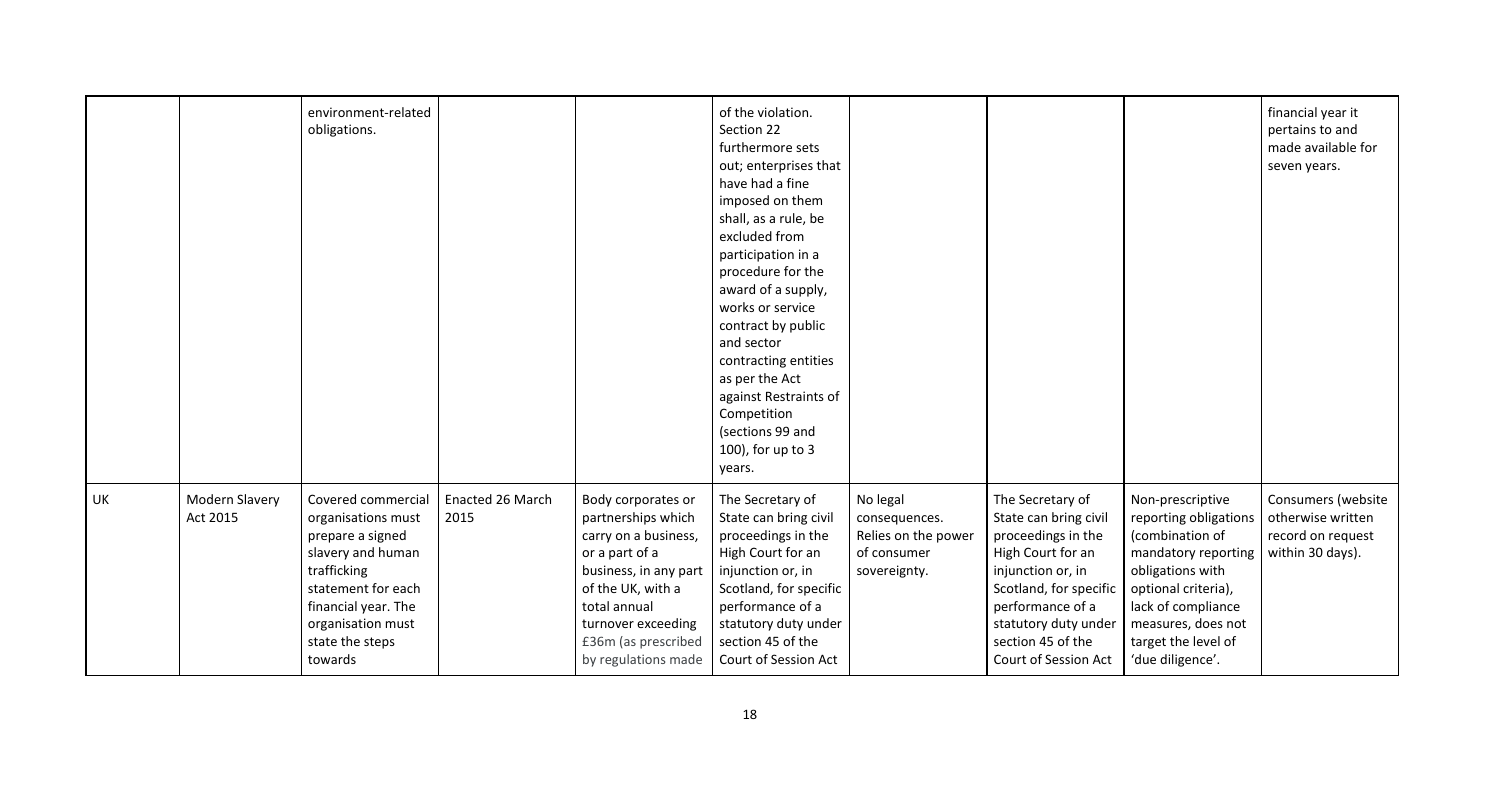|    |                            | environment-related<br>obligations.                                                                                                                                                              |                          |                                                                                                                                                                                                                      | of the violation.<br>Section 22<br>furthermore sets<br>out; enterprises that<br>have had a fine<br>imposed on them<br>shall, as a rule, be<br>excluded from<br>participation in a<br>procedure for the<br>award of a supply,<br>works or service<br>contract by public<br>and sector<br>contracting entities<br>as per the Act<br>against Restraints of<br>Competition<br>(sections 99 and<br>100), for up to 3<br>years. |                                                                                 |                                                                                                                                                                                                                              |                                                                                                                                                    |
|----|----------------------------|--------------------------------------------------------------------------------------------------------------------------------------------------------------------------------------------------|--------------------------|----------------------------------------------------------------------------------------------------------------------------------------------------------------------------------------------------------------------|---------------------------------------------------------------------------------------------------------------------------------------------------------------------------------------------------------------------------------------------------------------------------------------------------------------------------------------------------------------------------------------------------------------------------|---------------------------------------------------------------------------------|------------------------------------------------------------------------------------------------------------------------------------------------------------------------------------------------------------------------------|----------------------------------------------------------------------------------------------------------------------------------------------------|
| UK | Modern Slavery<br>Act 2015 | Covered commercial<br>organisations must<br>prepare a signed<br>slavery and human<br>trafficking<br>statement for each<br>financial year. The<br>organisation must<br>state the steps<br>towards | Enacted 26 March<br>2015 | Body corporates or<br>partnerships which<br>carry on a business,<br>or a part of a<br>business, in any part<br>of the UK, with a<br>total annual<br>turnover exceeding<br>£36m (as prescribed<br>by regulations made | The Secretary of<br>State can bring civil<br>proceedings in the<br>High Court for an<br>injunction or, in<br>Scotland, for specific<br>performance of a<br>statutory duty under<br>section 45 of the<br>Court of Session Act                                                                                                                                                                                              | No legal<br>consequences.<br>Relies on the power<br>of consumer<br>sovereignty. | The Secretary of<br>State can bring civil<br>proceedings in the<br>High Court for an<br>injunction or, in<br>Scotland, for specific<br>performance of a<br>statutory duty under<br>section 45 of the<br>Court of Session Act | Non-prescr<br>reporting o<br>(combinatio<br>mandatory<br>obligations<br>optional cri<br>lack of com<br>measures, o<br>target the l<br>'due diligen |

|                                                                                                                                                 | financial year it<br>pertains to and<br>made available for<br>seven years.       |
|-------------------------------------------------------------------------------------------------------------------------------------------------|----------------------------------------------------------------------------------|
| escriptive<br>ng obligations<br>ation of<br>ory reporting<br>ons with<br>ıl criteria),<br>compliance<br>es, does not<br>he level of<br>igence'. | Consumers (website<br>otherwise written<br>record on request<br>within 30 days). |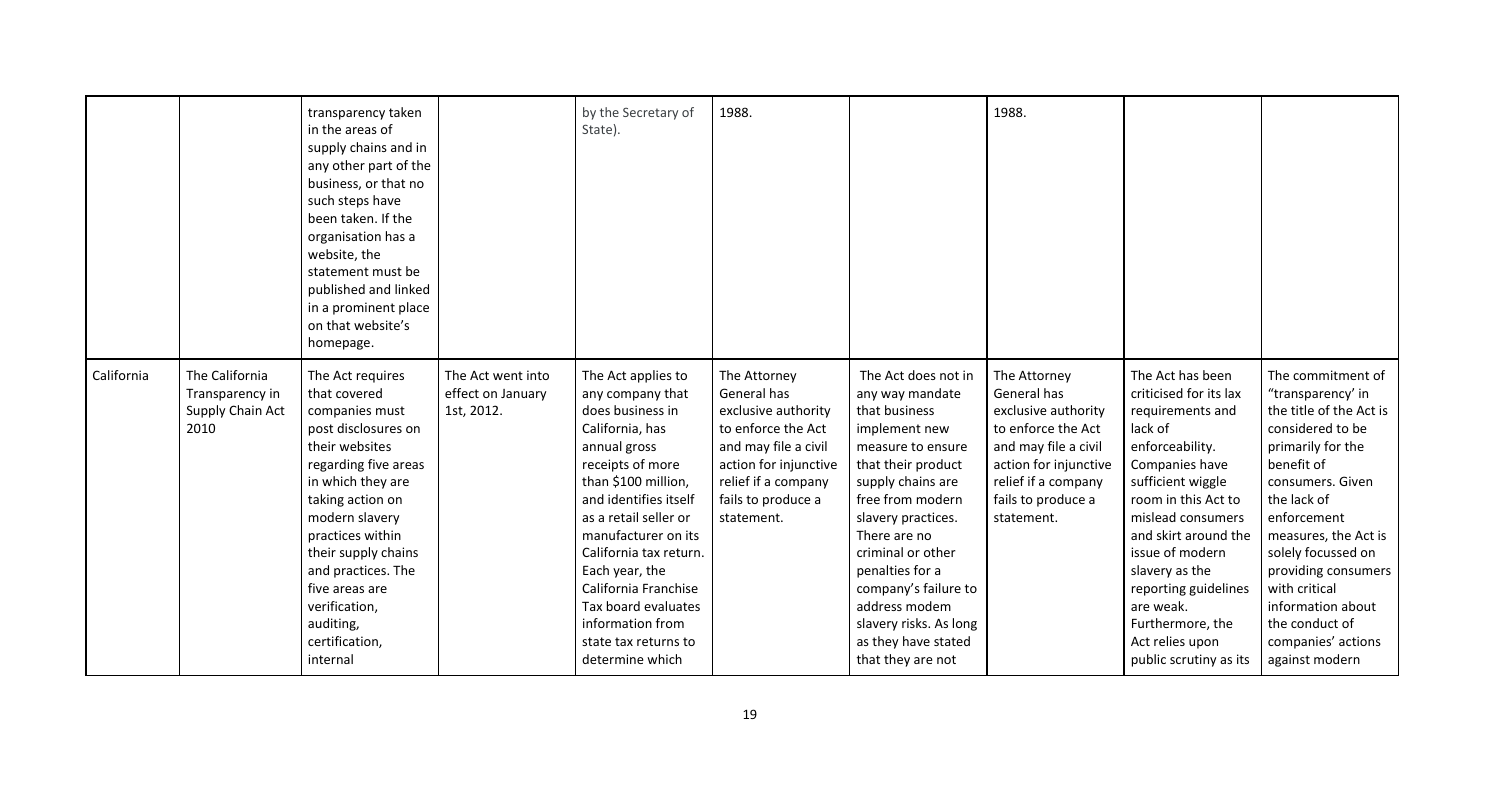|            |                                                               | transparency taken<br>in the areas of<br>supply chains and in<br>any other part of the<br>business, or that no<br>such steps have<br>been taken. If the<br>organisation has a<br>website, the<br>statement must be<br>published and linked<br>in a prominent place<br>on that website's<br>homepage.                          |                                                      | by the Secretary of<br>State).                                                                                                                                                                                                                                                                                                                                              | 1988.                                                                                                                                                                                |                                                                                                                                                                                                                                                                                                                                                           | 1988.                                                                                                                                                                                |                                                                                                                                                                                                                                                                                                                                                    |                                                                                                                                                                                                                                                                                                                                                 |
|------------|---------------------------------------------------------------|-------------------------------------------------------------------------------------------------------------------------------------------------------------------------------------------------------------------------------------------------------------------------------------------------------------------------------|------------------------------------------------------|-----------------------------------------------------------------------------------------------------------------------------------------------------------------------------------------------------------------------------------------------------------------------------------------------------------------------------------------------------------------------------|--------------------------------------------------------------------------------------------------------------------------------------------------------------------------------------|-----------------------------------------------------------------------------------------------------------------------------------------------------------------------------------------------------------------------------------------------------------------------------------------------------------------------------------------------------------|--------------------------------------------------------------------------------------------------------------------------------------------------------------------------------------|----------------------------------------------------------------------------------------------------------------------------------------------------------------------------------------------------------------------------------------------------------------------------------------------------------------------------------------------------|-------------------------------------------------------------------------------------------------------------------------------------------------------------------------------------------------------------------------------------------------------------------------------------------------------------------------------------------------|
| California | The California<br>Transparency in<br>Supply Chain Act<br>2010 | The Act requires<br>that covered<br>companies must<br>post disclosures on<br>their websites<br>regarding five areas<br>in which they are<br>taking action on<br>modern slavery<br>practices within<br>their supply chains<br>and practices. The<br>five areas are<br>verification,<br>auditing,<br>certification,<br>internal | The Act went into<br>effect on January<br>1st, 2012. | The Act applies to<br>any company that<br>does business in<br>California, has<br>annual gross<br>receipts of more<br>than \$100 million,<br>and identifies itself<br>as a retail seller or<br>manufacturer on its<br>California tax return.<br>Each year, the<br>California Franchise<br>Tax board evaluates<br>information from<br>state tax returns to<br>determine which | The Attorney<br>General has<br>exclusive authority<br>to enforce the Act<br>and may file a civil<br>action for injunctive<br>relief if a company<br>fails to produce a<br>statement. | The Act does not in<br>any way mandate<br>that business<br>implement new<br>measure to ensure<br>that their product<br>supply chains are<br>free from modern<br>slavery practices.<br>There are no<br>criminal or other<br>penalties for a<br>company's failure to<br>address modem<br>slavery risks. As long<br>as they have stated<br>that they are not | The Attorney<br>General has<br>exclusive authority<br>to enforce the Act<br>and may file a civil<br>action for injunctive<br>relief if a company<br>fails to produce a<br>statement. | The Act has been<br>criticised for its lax<br>requirements and<br>lack of<br>enforceability.<br>Companies have<br>sufficient wiggle<br>room in this Act to<br>mislead consumers<br>and skirt around the<br>issue of modern<br>slavery as the<br>reporting guidelines<br>are weak.<br>Furthermore, the<br>Act relies upon<br>public scrutiny as its | The commitment of<br>"transparency' in<br>the title of the Act is<br>considered to be<br>primarily for the<br>benefit of<br>consumers. Given<br>the lack of<br>enforcement<br>measures, the Act is<br>solely focussed on<br>providing consumers<br>with critical<br>information about<br>the conduct of<br>companies' actions<br>against modern |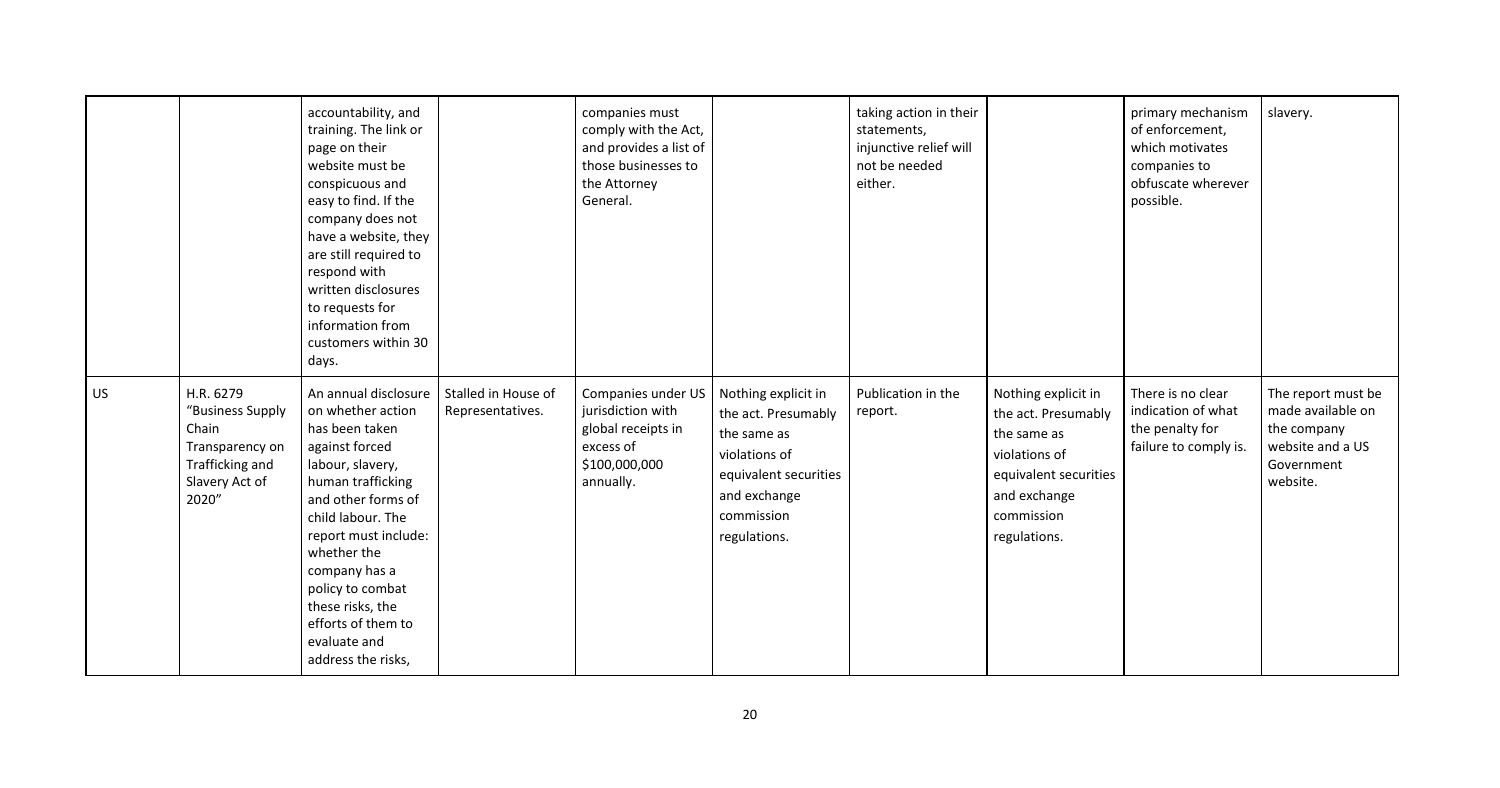|           |                                                                                                         | accountability, and<br>training. The link or<br>page on their<br>website must be<br>conspicuous and<br>easy to find. If the<br>company does not<br>have a website, they<br>are still required to<br>respond with<br>written disclosures<br>to requests for<br>information from<br>customers within 30<br>days.                |                                         | companies must<br>comply with the Act,<br>and provides a list of<br>those businesses to<br>the Attorney<br>General. |                                                                                                                                                   | taking action in their<br>statements,<br>injunctive relief will<br>not be needed<br>either. |                                                                                                                                                   | primary mechanism<br>of enforcement,<br>which motivates<br>companies to<br>obfuscate wherever<br>possible. | slavery.                                                                                             |
|-----------|---------------------------------------------------------------------------------------------------------|-------------------------------------------------------------------------------------------------------------------------------------------------------------------------------------------------------------------------------------------------------------------------------------------------------------------------------|-----------------------------------------|---------------------------------------------------------------------------------------------------------------------|---------------------------------------------------------------------------------------------------------------------------------------------------|---------------------------------------------------------------------------------------------|---------------------------------------------------------------------------------------------------------------------------------------------------|------------------------------------------------------------------------------------------------------------|------------------------------------------------------------------------------------------------------|
| <b>US</b> | H.R. 6279<br>"Business Supply<br>Chain<br>Transparency on<br>Trafficking and<br>Slavery Act of<br>2020" | An annual disclosure<br>on whether action<br>has been taken<br>against forced<br>labour, slavery,<br>human trafficking<br>and other forms of<br>child labour. The<br>report must include:<br>whether the<br>company has a<br>policy to combat<br>these risks, the<br>efforts of them to<br>evaluate and<br>address the risks, | Stalled in House of<br>Representatives. | Companies under US<br>jurisdiction with<br>global receipts in<br>excess of<br>\$100,000,000<br>annually.            | Nothing explicit in<br>the act. Presumably<br>the same as<br>violations of<br>equivalent securities<br>and exchange<br>commission<br>regulations. | Publication in the<br>report.                                                               | Nothing explicit in<br>the act. Presumably<br>the same as<br>violations of<br>equivalent securities<br>and exchange<br>commission<br>regulations. | There is no clear<br>indication of what<br>the penalty for<br>failure to comply is.                        | The report must be<br>made available on<br>the company<br>website and a US<br>Government<br>website. |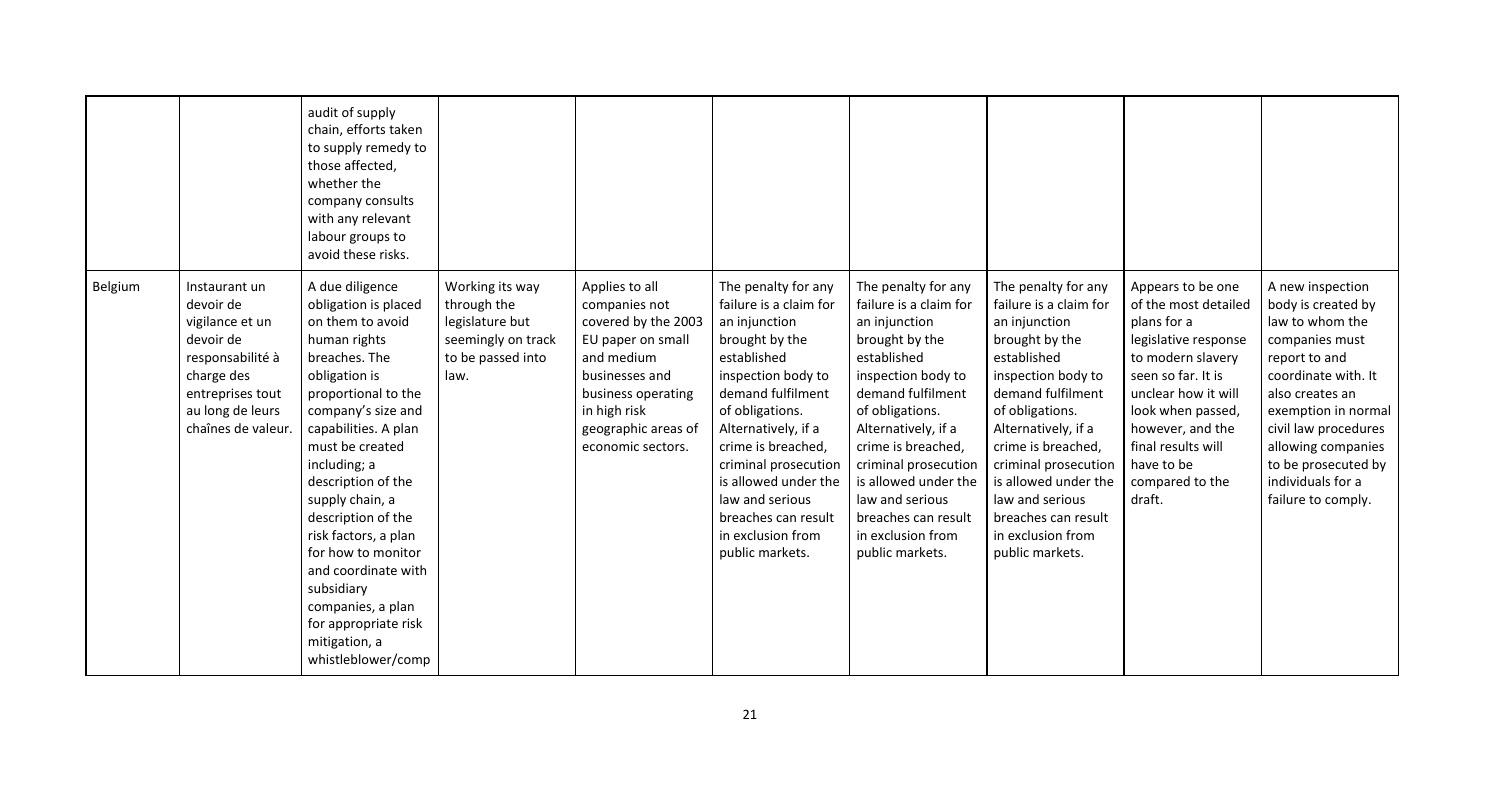|         |                                                                                                                                                            | audit of supply<br>chain, efforts taken<br>to supply remedy to<br>those affected,<br>whether the<br>company consults<br>with any relevant<br>labour groups to<br>avoid these risks.                                                                                                                                                                                                                                                                         |                                                                                                      |                                                                                                                                                                                               |                                                                                                                                                                                                                                                                                                                                              |                                                                                                                                                                                                                                                                                                                                              |                                                                                                                                                                                                                                                                                                                                              |                                                                                                                                                                                                                                                              |                                                                                                                                                                                                                                                                               |
|---------|------------------------------------------------------------------------------------------------------------------------------------------------------------|-------------------------------------------------------------------------------------------------------------------------------------------------------------------------------------------------------------------------------------------------------------------------------------------------------------------------------------------------------------------------------------------------------------------------------------------------------------|------------------------------------------------------------------------------------------------------|-----------------------------------------------------------------------------------------------------------------------------------------------------------------------------------------------|----------------------------------------------------------------------------------------------------------------------------------------------------------------------------------------------------------------------------------------------------------------------------------------------------------------------------------------------|----------------------------------------------------------------------------------------------------------------------------------------------------------------------------------------------------------------------------------------------------------------------------------------------------------------------------------------------|----------------------------------------------------------------------------------------------------------------------------------------------------------------------------------------------------------------------------------------------------------------------------------------------------------------------------------------------|--------------------------------------------------------------------------------------------------------------------------------------------------------------------------------------------------------------------------------------------------------------|-------------------------------------------------------------------------------------------------------------------------------------------------------------------------------------------------------------------------------------------------------------------------------|
| Belgium | Instaurant un<br>devoir de<br>vigilance et un<br>devoir de<br>responsabilité à<br>charge des<br>entreprises tout<br>au long de leurs<br>chaînes de valeur. | A due diligence<br>obligation is placed<br>on them to avoid<br>human rights<br>breaches. The<br>obligation is<br>proportional to the<br>company's size and<br>capabilities. A plan<br>must be created<br>including; a<br>description of the<br>supply chain, a<br>description of the<br>risk factors, a plan<br>for how to monitor<br>and coordinate with<br>subsidiary<br>companies, a plan<br>for appropriate risk<br>mitigation, a<br>whistleblower/comp | Working its way<br>through the<br>legislature but<br>seemingly on track<br>to be passed into<br>law. | Applies to all<br>companies not<br>covered by the 2003<br>EU paper on small<br>and medium<br>businesses and<br>business operating<br>in high risk<br>geographic areas of<br>economic sectors. | The penalty for any<br>failure is a claim for<br>an injunction<br>brought by the<br>established<br>inspection body to<br>demand fulfilment<br>of obligations.<br>Alternatively, if a<br>crime is breached,<br>criminal prosecution<br>is allowed under the<br>law and serious<br>breaches can result<br>in exclusion from<br>public markets. | The penalty for any<br>failure is a claim for<br>an injunction<br>brought by the<br>established<br>inspection body to<br>demand fulfilment<br>of obligations.<br>Alternatively, if a<br>crime is breached,<br>criminal prosecution<br>is allowed under the<br>law and serious<br>breaches can result<br>in exclusion from<br>public markets. | The penalty for any<br>failure is a claim for<br>an injunction<br>brought by the<br>established<br>inspection body to<br>demand fulfilment<br>of obligations.<br>Alternatively, if a<br>crime is breached,<br>criminal prosecution<br>is allowed under the<br>law and serious<br>breaches can result<br>in exclusion from<br>public markets. | Appears to be one<br>of the most detailed<br>plans for a<br>legislative response<br>to modern slavery<br>seen so far. It is<br>unclear how it will<br>look when passed,<br>however, and the<br>final results will<br>have to be<br>compared to the<br>draft. | A new inspection<br>body is created by<br>law to whom the<br>companies must<br>report to and<br>coordinate with. It<br>also creates an<br>exemption in normal<br>civil law procedures<br>allowing companies<br>to be prosecuted by<br>individuals for a<br>failure to comply. |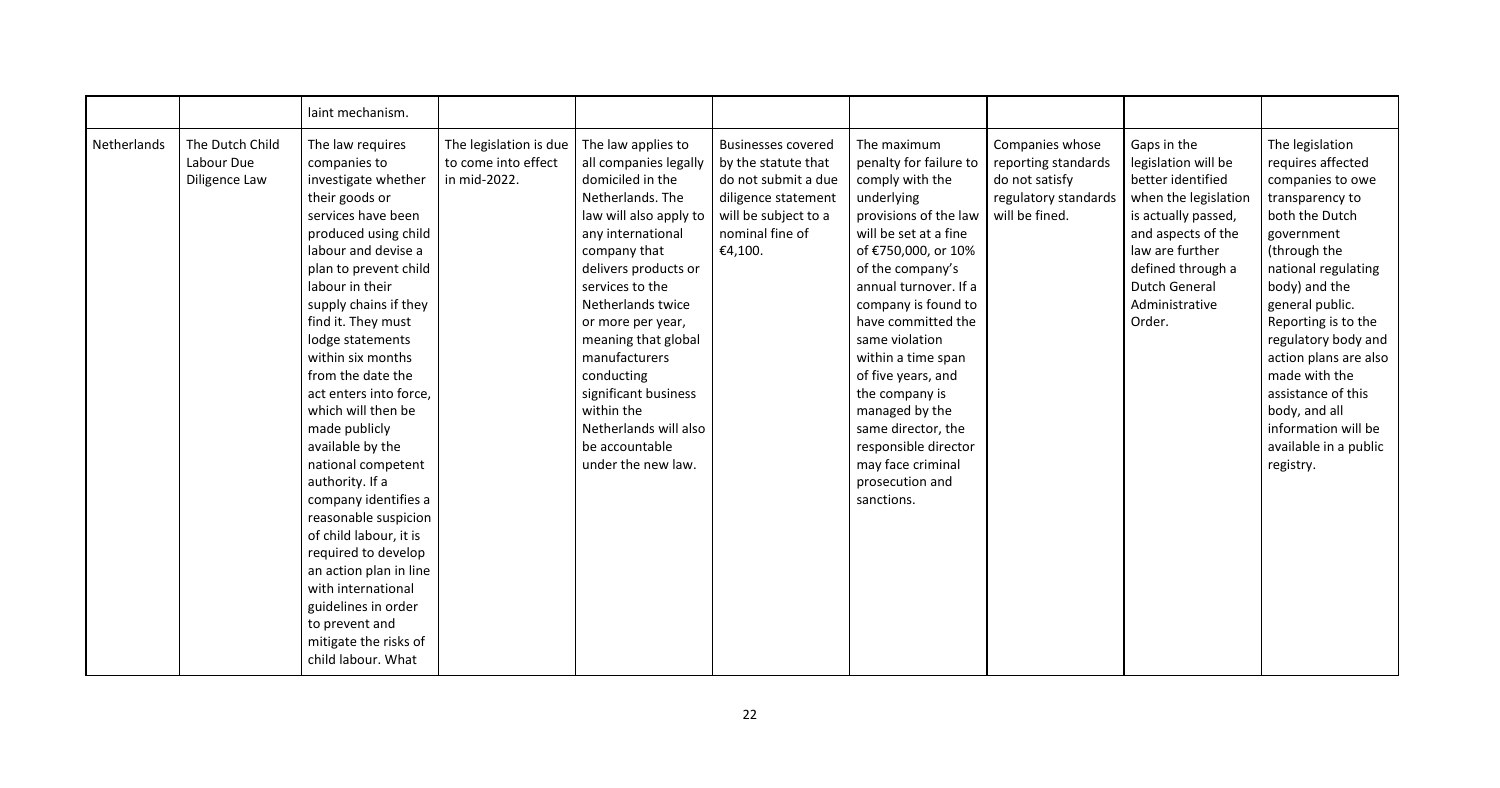|             |                                                | laint mechanism.                                                                                                                                                                                                                                                                                                                                                                                                                                                                                                                                                                                                                                                               |                                                               |                                                                                                                                                                                                                                                                                                                                                                                                      |                                                                                                                                                      |                                                                                                                                                                                                                                                                                                                                                                                                                                                 |                                                                                                    |                                                                                                                                                                                                                          |                                                                                                                                                                                                                                                                                                                                                                                    |
|-------------|------------------------------------------------|--------------------------------------------------------------------------------------------------------------------------------------------------------------------------------------------------------------------------------------------------------------------------------------------------------------------------------------------------------------------------------------------------------------------------------------------------------------------------------------------------------------------------------------------------------------------------------------------------------------------------------------------------------------------------------|---------------------------------------------------------------|------------------------------------------------------------------------------------------------------------------------------------------------------------------------------------------------------------------------------------------------------------------------------------------------------------------------------------------------------------------------------------------------------|------------------------------------------------------------------------------------------------------------------------------------------------------|-------------------------------------------------------------------------------------------------------------------------------------------------------------------------------------------------------------------------------------------------------------------------------------------------------------------------------------------------------------------------------------------------------------------------------------------------|----------------------------------------------------------------------------------------------------|--------------------------------------------------------------------------------------------------------------------------------------------------------------------------------------------------------------------------|------------------------------------------------------------------------------------------------------------------------------------------------------------------------------------------------------------------------------------------------------------------------------------------------------------------------------------------------------------------------------------|
| Netherlands | The Dutch Child<br>Labour Due<br>Diligence Law | The law requires<br>companies to<br>investigate whether<br>their goods or<br>services have been<br>produced using child<br>labour and devise a<br>plan to prevent child<br>labour in their<br>supply chains if they<br>find it. They must<br>lodge statements<br>within six months<br>from the date the<br>act enters into force,<br>which will then be<br>made publicly<br>available by the<br>national competent<br>authority. If a<br>company identifies a<br>reasonable suspicion<br>of child labour, it is<br>required to develop<br>an action plan in line<br>with international<br>guidelines in order<br>to prevent and<br>mitigate the risks of<br>child labour. What | The legislation is due<br>to come into effect<br>in mid-2022. | The law applies to<br>all companies legally<br>domiciled in the<br>Netherlands. The<br>law will also apply to<br>any international<br>company that<br>delivers products or<br>services to the<br>Netherlands twice<br>or more per year,<br>meaning that global<br>manufacturers<br>conducting<br>significant business<br>within the<br>Netherlands will also<br>be accountable<br>under the new law. | <b>Businesses covered</b><br>by the statute that<br>do not submit a due<br>diligence statement<br>will be subject to a<br>nominal fine of<br>€4,100. | The maximum<br>penalty for failure to<br>comply with the<br>underlying<br>provisions of the law<br>will be set at a fine<br>of €750,000, or 10%<br>of the company's<br>annual turnover. If a<br>company is found to<br>have committed the<br>same violation<br>within a time span<br>of five years, and<br>the company is<br>managed by the<br>same director, the<br>responsible director<br>may face criminal<br>prosecution and<br>sanctions. | Companies whose<br>reporting standards<br>do not satisfy<br>regulatory standards<br>will be fined. | Gaps in the<br>legislation will be<br>better identified<br>when the legislation<br>is actually passed,<br>and aspects of the<br>law are further<br>defined through a<br><b>Dutch General</b><br>Administrative<br>Order. | The legislation<br>requires affected<br>companies to owe<br>transparency to<br>both the Dutch<br>government<br>(through the<br>national regulating<br>body) and the<br>general public.<br>Reporting is to the<br>regulatory body and<br>action plans are also<br>made with the<br>assistance of this<br>body, and all<br>information will be<br>available in a public<br>registry. |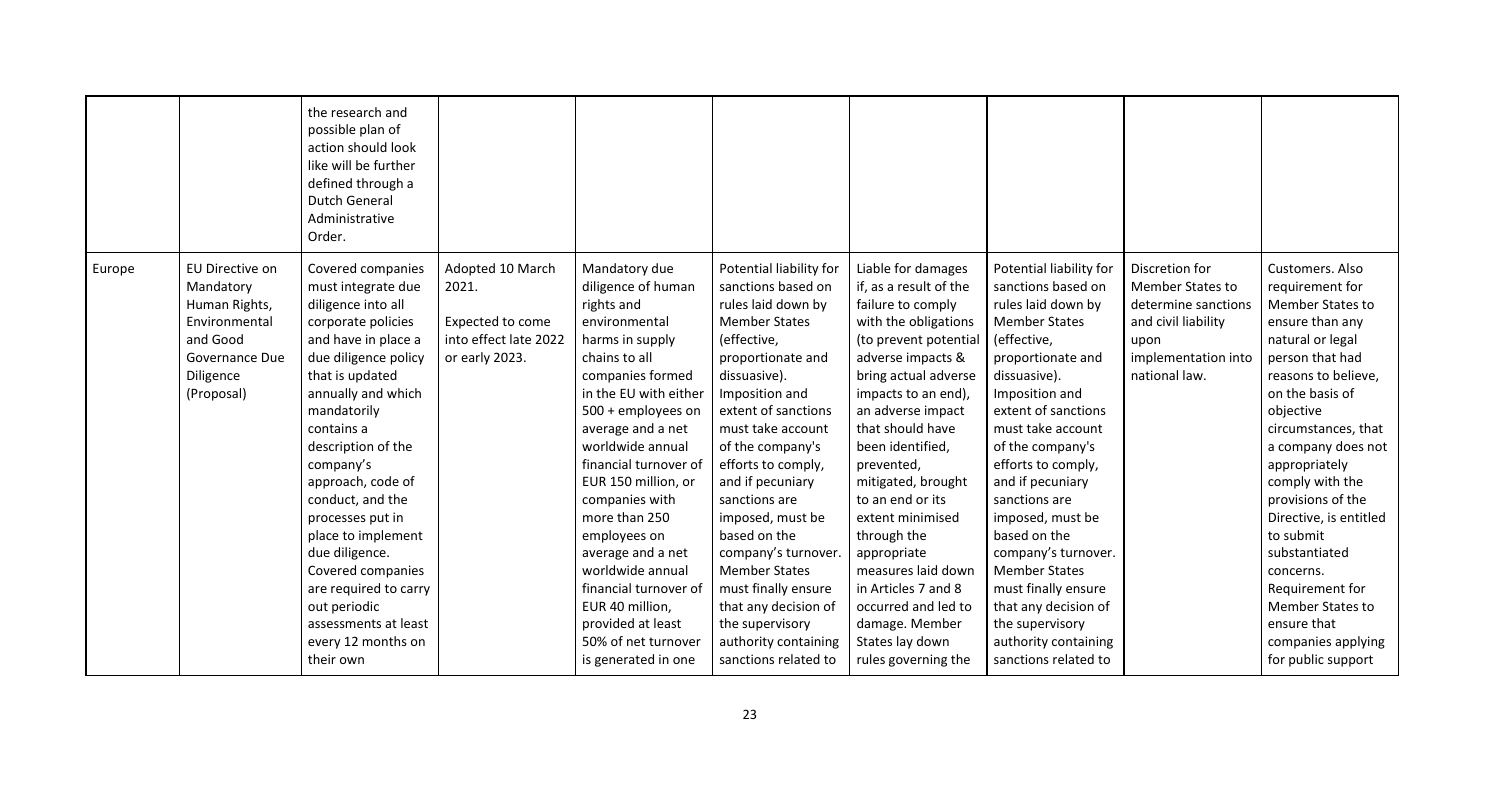|        |                                                                                                                         | the research and<br>possible plan of<br>action should look<br>like will be further<br>defined through a<br><b>Dutch General</b><br>Administrative<br>Order.                                                                                                                                                                                                                                                                                                               |                                                                                          |                                                                                                                                                                                                                                                                                                                                                                                                                                                                               |                                                                                                                                                                                                                                                                                                                                                                                                                                                                                                   |                                                                                                                                                                                                                                                                                                                                                                                                                                                                                               |                                                                                                                                                                                                                                                                                                                                                                                                                                                                                                   |                                                                                                                                  |                                                                                                                                                                                                                                                                                                                                                                                                                                                             |
|--------|-------------------------------------------------------------------------------------------------------------------------|---------------------------------------------------------------------------------------------------------------------------------------------------------------------------------------------------------------------------------------------------------------------------------------------------------------------------------------------------------------------------------------------------------------------------------------------------------------------------|------------------------------------------------------------------------------------------|-------------------------------------------------------------------------------------------------------------------------------------------------------------------------------------------------------------------------------------------------------------------------------------------------------------------------------------------------------------------------------------------------------------------------------------------------------------------------------|---------------------------------------------------------------------------------------------------------------------------------------------------------------------------------------------------------------------------------------------------------------------------------------------------------------------------------------------------------------------------------------------------------------------------------------------------------------------------------------------------|-----------------------------------------------------------------------------------------------------------------------------------------------------------------------------------------------------------------------------------------------------------------------------------------------------------------------------------------------------------------------------------------------------------------------------------------------------------------------------------------------|---------------------------------------------------------------------------------------------------------------------------------------------------------------------------------------------------------------------------------------------------------------------------------------------------------------------------------------------------------------------------------------------------------------------------------------------------------------------------------------------------|----------------------------------------------------------------------------------------------------------------------------------|-------------------------------------------------------------------------------------------------------------------------------------------------------------------------------------------------------------------------------------------------------------------------------------------------------------------------------------------------------------------------------------------------------------------------------------------------------------|
| Europe | EU Directive on<br>Mandatory<br>Human Rights,<br>Environmental<br>and Good<br>Governance Due<br>Diligence<br>(Proposal) | Covered companies<br>must integrate due<br>diligence into all<br>corporate policies<br>and have in place a<br>due diligence policy<br>that is updated<br>annually and which<br>mandatorily<br>contains a<br>description of the<br>company's<br>approach, code of<br>conduct, and the<br>processes put in<br>place to implement<br>due diligence.<br>Covered companies<br>are required to carry<br>out periodic<br>assessments at least<br>every 12 months on<br>their own | Adopted 10 March<br>2021.<br>Expected to come<br>into effect late 2022<br>or early 2023. | Mandatory due<br>diligence of human<br>rights and<br>environmental<br>harms in supply<br>chains to all<br>companies formed<br>in the EU with either<br>500 + employees on<br>average and a net<br>worldwide annual<br>financial turnover of<br>EUR 150 million, or<br>companies with<br>more than 250<br>employees on<br>average and a net<br>worldwide annual<br>financial turnover of<br>EUR 40 million,<br>provided at least<br>50% of net turnover<br>is generated in one | Potential liability for<br>sanctions based on<br>rules laid down by<br><b>Member States</b><br>(effective,<br>proportionate and<br>dissuasive).<br>Imposition and<br>extent of sanctions<br>must take account<br>of the company's<br>efforts to comply,<br>and if pecuniary<br>sanctions are<br>imposed, must be<br>based on the<br>company's turnover.<br><b>Member States</b><br>must finally ensure<br>that any decision of<br>the supervisory<br>authority containing<br>sanctions related to | Liable for damages<br>if, as a result of the<br>failure to comply<br>with the obligations<br>(to prevent potential<br>adverse impacts &<br>bring actual adverse<br>impacts to an end),<br>an adverse impact<br>that should have<br>been identified,<br>prevented,<br>mitigated, brought<br>to an end or its<br>extent minimised<br>through the<br>appropriate<br>measures laid down<br>in Articles 7 and 8<br>occurred and led to<br>damage. Member<br>States lay down<br>rules governing the | Potential liability for<br>sanctions based on<br>rules laid down by<br><b>Member States</b><br>(effective,<br>proportionate and<br>dissuasive).<br>Imposition and<br>extent of sanctions<br>must take account<br>of the company's<br>efforts to comply,<br>and if pecuniary<br>sanctions are<br>imposed, must be<br>based on the<br>company's turnover.<br><b>Member States</b><br>must finally ensure<br>that any decision of<br>the supervisory<br>authority containing<br>sanctions related to | Discretion for<br>Member States to<br>determine sanctions<br>and civil liability<br>upon<br>implementation into<br>national law. | Customers. Also<br>requirement for<br>Member States to<br>ensure than any<br>natural or legal<br>person that had<br>reasons to believe,<br>on the basis of<br>objective<br>circumstances, that<br>a company does not<br>appropriately<br>comply with the<br>provisions of the<br>Directive, is entitled<br>to submit<br>substantiated<br>concerns.<br>Requirement for<br><b>Member States to</b><br>ensure that<br>companies applying<br>for public support |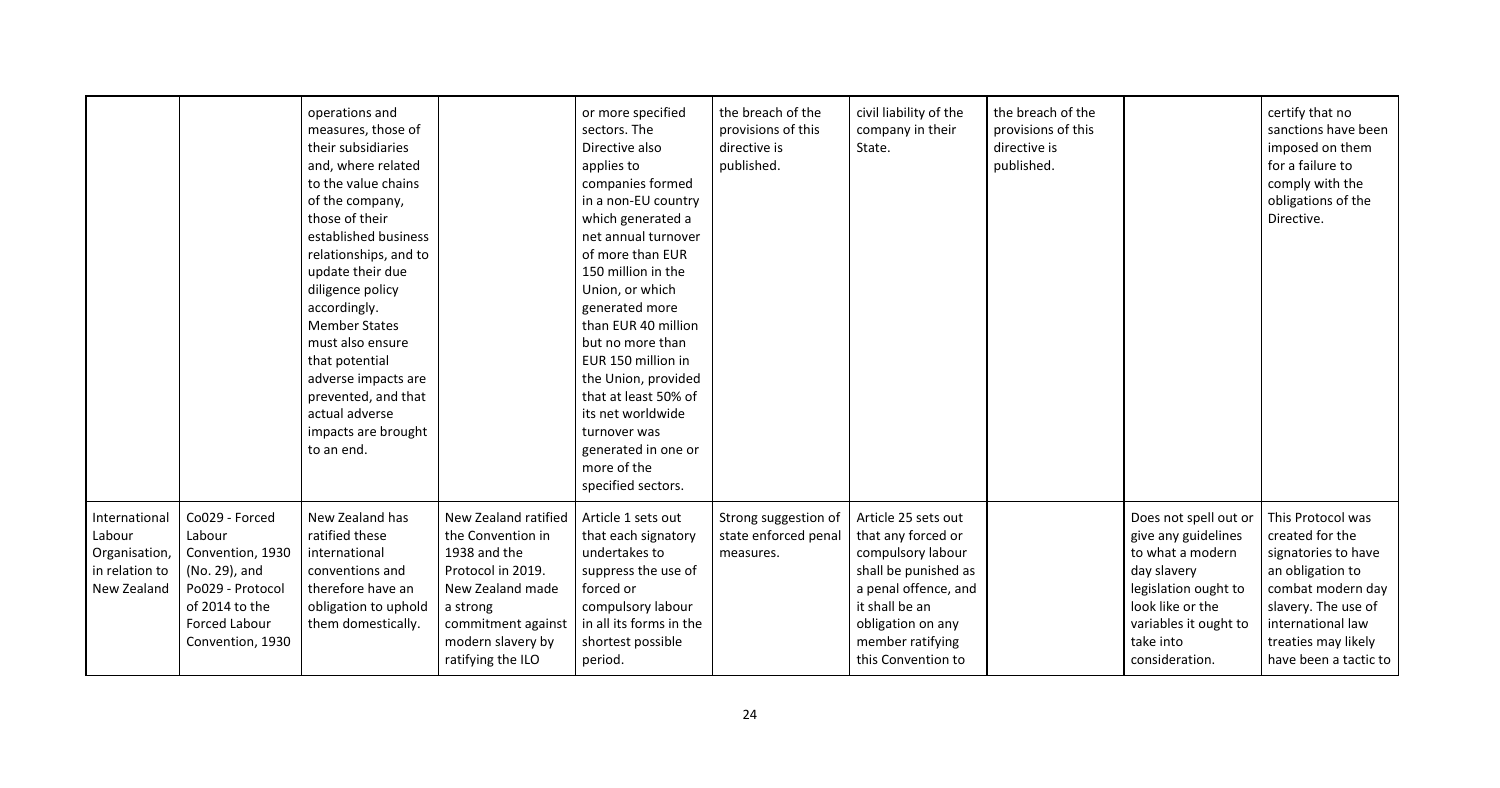|                                                                                                                                          | operations and<br>measures, those of<br>their subsidiaries<br>and, where related<br>to the value chains<br>of the company,<br>those of their<br>established business<br>relationships, and to<br>update their due<br>diligence policy<br>accordingly.<br><b>Member States</b><br>must also ensure<br>that potential<br>adverse impacts are<br>prevented, and that<br>actual adverse<br>impacts are brought<br>to an end. |                                                                                                                                                                                | or more specified<br>sectors. The<br>Directive also<br>applies to<br>companies formed<br>in a non-EU country<br>which generated a<br>net annual turnover<br>of more than EUR<br>150 million in the<br>Union, or which<br>generated more<br>than EUR 40 million<br>but no more than<br>EUR 150 million in<br>the Union, provided<br>that at least 50% of<br>its net worldwide<br>turnover was<br>generated in one or<br>more of the<br>specified sectors. | the breach of the<br>provisions of this<br>directive is<br>published. | civil liability of the<br>company in their<br>State.                                                                                                                                            | the breach of the<br>provisions of this<br>directive is<br>published. |                                                                                                                                       |
|------------------------------------------------------------------------------------------------------------------------------------------|--------------------------------------------------------------------------------------------------------------------------------------------------------------------------------------------------------------------------------------------------------------------------------------------------------------------------------------------------------------------------------------------------------------------------|--------------------------------------------------------------------------------------------------------------------------------------------------------------------------------|----------------------------------------------------------------------------------------------------------------------------------------------------------------------------------------------------------------------------------------------------------------------------------------------------------------------------------------------------------------------------------------------------------------------------------------------------------|-----------------------------------------------------------------------|-------------------------------------------------------------------------------------------------------------------------------------------------------------------------------------------------|-----------------------------------------------------------------------|---------------------------------------------------------------------------------------------------------------------------------------|
| Co029 - Forced<br>Labour<br>Convention, 1930<br>(No. 29), and<br>Po029 - Protocol<br>of 2014 to the<br>Forced Labour<br>Convention, 1930 | New Zealand has<br>ratified these<br>international<br>conventions and<br>therefore have an<br>obligation to uphold<br>them domestically.                                                                                                                                                                                                                                                                                 | New Zealand ratified<br>the Convention in<br>1938 and the<br>Protocol in 2019.<br>New Zealand made<br>a strong<br>commitment against<br>modern slavery by<br>ratifying the ILO | Article 1 sets out<br>that each signatory<br>undertakes to<br>suppress the use of<br>forced or<br>compulsory labour<br>in all its forms in the<br>shortest possible<br>period.                                                                                                                                                                                                                                                                           | Strong suggestion of<br>state enforced penal<br>measures.             | Article 25 sets out<br>that any forced or<br>compulsory labour<br>shall be punished as<br>a penal offence, and<br>it shall be an<br>obligation on any<br>member ratifying<br>this Convention to |                                                                       | Does not sp<br>give any gu<br>to what a n<br>day slavery<br>legislation o<br>look like or<br>variables it<br>take into<br>considerati |
|                                                                                                                                          |                                                                                                                                                                                                                                                                                                                                                                                                                          |                                                                                                                                                                                |                                                                                                                                                                                                                                                                                                                                                                                                                                                          |                                                                       |                                                                                                                                                                                                 |                                                                       |                                                                                                                                       |

|                                                                                                                         | certify that no<br>sanctions have been<br>imposed on them<br>for a failure to<br>comply with the<br>obligations of the<br>Directive.                                                             |  |
|-------------------------------------------------------------------------------------------------------------------------|--------------------------------------------------------------------------------------------------------------------------------------------------------------------------------------------------|--|
| ot spell out or<br>ly guidelines<br>t a modern<br>very<br>ion ought to<br>e or the:<br>es it ought to<br>to<br>eration. | This Protocol was<br>created for the<br>signatories to have<br>an obligation to<br>combat modern day<br>slavery. The use of<br>international law<br>treaties may likely<br>have been a tactic to |  |